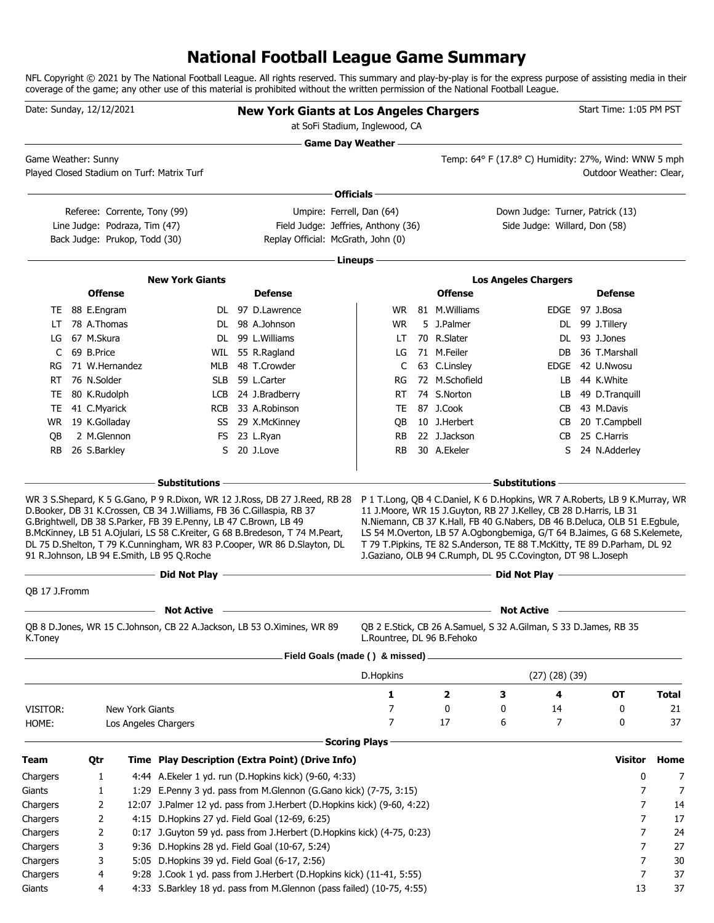## **National Football League Game Summary**

NFL Copyright © 2021 by The National Football League. All rights reserved. This summary and play-by-play is for the express purpose of assisting media in their coverage of the game; any other use of this material is prohibited without the written permission of the National Football League.

| Date: Sunday, 12/12/2021 |                             |                               |                                                                                                                                                                                          | <b>New York Giants at Los Angeles Chargers</b><br>at SoFi Stadium, Inglewood, CA                                                                        |                            |                                                                                                                                                                                                                                                                                                                                                                            | the control of the control of the control of the control of the control of the control of |                      | Start Time: 1:05 PM PST                       |              |
|--------------------------|-----------------------------|-------------------------------|------------------------------------------------------------------------------------------------------------------------------------------------------------------------------------------|---------------------------------------------------------------------------------------------------------------------------------------------------------|----------------------------|----------------------------------------------------------------------------------------------------------------------------------------------------------------------------------------------------------------------------------------------------------------------------------------------------------------------------------------------------------------------------|-------------------------------------------------------------------------------------------|----------------------|-----------------------------------------------|--------------|
| Game Weather: Sunny      |                             |                               | Played Closed Stadium on Turf: Matrix Turf                                                                                                                                               |                                                                                                                                                         | <b>Game Day Weather —</b>  |                                                                                                                                                                                                                                                                                                                                                                            | Temp: 64° F (17.8° C) Humidity: 27%, Wind: WNW 5 mph                                      |                      | Outdoor Weather: Clear,                       |              |
|                          |                             |                               |                                                                                                                                                                                          |                                                                                                                                                         | ∙ Officials –              |                                                                                                                                                                                                                                                                                                                                                                            |                                                                                           |                      |                                               |              |
|                          |                             | Referee: Corrente, Tony (99)  |                                                                                                                                                                                          | Umpire: Ferrell, Dan (64)                                                                                                                               |                            |                                                                                                                                                                                                                                                                                                                                                                            | Down Judge: Turner, Patrick (13)                                                          |                      |                                               |              |
|                          |                             | Line Judge: Podraza, Tim (47) |                                                                                                                                                                                          | Field Judge: Jeffries, Anthony (36)                                                                                                                     |                            |                                                                                                                                                                                                                                                                                                                                                                            | Side Judge: Willard, Don (58)                                                             |                      |                                               |              |
|                          |                             | Back Judge: Prukop, Todd (30) |                                                                                                                                                                                          | Replay Official: McGrath, John (0)                                                                                                                      |                            |                                                                                                                                                                                                                                                                                                                                                                            |                                                                                           |                      |                                               |              |
|                          |                             |                               |                                                                                                                                                                                          |                                                                                                                                                         | Lineups -                  |                                                                                                                                                                                                                                                                                                                                                                            |                                                                                           |                      |                                               |              |
|                          |                             |                               | <b>New York Giants</b>                                                                                                                                                                   |                                                                                                                                                         |                            |                                                                                                                                                                                                                                                                                                                                                                            | <b>Los Angeles Chargers</b>                                                               |                      |                                               |              |
|                          | <b>Offense</b>              |                               |                                                                                                                                                                                          | <b>Defense</b>                                                                                                                                          |                            | <b>Offense</b>                                                                                                                                                                                                                                                                                                                                                             |                                                                                           |                      | <b>Defense</b>                                |              |
|                          | TE 88 E.Engram              |                               |                                                                                                                                                                                          | DL 97 D.Lawrence                                                                                                                                        |                            | WR 81 M. Williams                                                                                                                                                                                                                                                                                                                                                          |                                                                                           |                      | EDGE 97 J.Bosa                                |              |
| LT                       | 78 A.Thomas                 |                               |                                                                                                                                                                                          | DL 98 A.Johnson                                                                                                                                         | <b>WR</b>                  | 5 J.Palmer                                                                                                                                                                                                                                                                                                                                                                 |                                                                                           |                      | DL 99 J.Tillery                               |              |
| LG                       | 67 M.Skura                  |                               |                                                                                                                                                                                          | DL 99 L.Williams                                                                                                                                        | LT.                        | 70 R.Slater                                                                                                                                                                                                                                                                                                                                                                |                                                                                           |                      | DL 93 J.Jones                                 |              |
| C                        | 69 B.Price                  |                               |                                                                                                                                                                                          | WIL 55 R.Ragland                                                                                                                                        | LG                         | 71 M.Feiler                                                                                                                                                                                                                                                                                                                                                                |                                                                                           | DB.                  | 36 T.Marshall                                 |              |
| RG                       |                             | 71 W.Hernandez                |                                                                                                                                                                                          | MLB 48 T.Crowder                                                                                                                                        | C                          | 63 C.Linsley                                                                                                                                                                                                                                                                                                                                                               |                                                                                           | EDGE                 | 42 U.Nwosu                                    |              |
| RT                       | 76 N.Solder                 |                               |                                                                                                                                                                                          | SLB 59 L.Carter                                                                                                                                         | RG                         | 72 M.Schofield                                                                                                                                                                                                                                                                                                                                                             |                                                                                           | LB.                  | 44 K.White                                    |              |
| TE                       | 80 K.Rudolph                |                               |                                                                                                                                                                                          | LCB 24 J.Bradberry                                                                                                                                      | RT.                        | 74 S.Norton                                                                                                                                                                                                                                                                                                                                                                |                                                                                           | LB.                  | 49 D.Tranquill                                |              |
| TE.                      | 41 C.Myarick                |                               |                                                                                                                                                                                          | RCB 33 A.Robinson                                                                                                                                       | TE                         | 87 J.Cook                                                                                                                                                                                                                                                                                                                                                                  |                                                                                           | CB.                  | 43 M.Davis                                    |              |
|                          | WR 19 K.Golladay            |                               |                                                                                                                                                                                          | SS 29 X.McKinney                                                                                                                                        | QB                         | 10 J.Herbert                                                                                                                                                                                                                                                                                                                                                               |                                                                                           | CB                   | 20 T.Campbell                                 |              |
| OВ                       | 2 M.Glennon<br>26 S.Barkley |                               |                                                                                                                                                                                          | FS 23 L.Ryan<br>20 J.Love                                                                                                                               | RB<br><b>RB</b>            | 22 J.Jackson<br>30 A.Ekeler                                                                                                                                                                                                                                                                                                                                                |                                                                                           | CB<br>S              | 25 C.Harris<br>24 N.Adderley                  |              |
|                          |                             |                               | D.Booker, DB 31 K.Crossen, CB 34 J.Williams, FB 36 C.Gillaspia, RB 37<br>G.Brightwell, DB 38 S.Parker, FB 39 E.Penny, LB 47 C.Brown, LB 49<br>91 R.Johnson, LB 94 E.Smith, LB 95 Q.Roche | B.McKinney, LB 51 A.Ojulari, LS 58 C.Kreiter, G 68 B.Bredeson, T 74 M.Peart,<br>DL 75 D.Shelton, T 79 K.Cunningham, WR 83 P.Cooper, WR 86 D.Slayton, DL |                            | 11 J.Moore, WR 15 J.Guyton, RB 27 J.Kelley, CB 28 D.Harris, LB 31<br>N.Niemann, CB 37 K.Hall, FB 40 G.Nabers, DB 46 B.Deluca, OLB 51 E.Egbule,<br>LS 54 M.Overton, LB 57 A.Ogbongbemiga, G/T 64 B.Jaimes, G 68 S.Kelemete,<br>T 79 T. Pipkins, TE 82 S. Anderson, TE 88 T. McKitty, TE 89 D. Parham, DL 92<br>J.Gaziano, OLB 94 C.Rumph, DL 95 C.Covington, DT 98 L.Joseph |                                                                                           |                      |                                               |              |
|                          |                             |                               | Did Not Play -                                                                                                                                                                           | <u> 1989 - Johann Barbara, martxa alemaniar arg</u>                                                                                                     |                            |                                                                                                                                                                                                                                                                                                                                                                            |                                                                                           |                      | Did Not Play <u>_________________________</u> |              |
| OB 17 J.Fromm            |                             |                               |                                                                                                                                                                                          |                                                                                                                                                         |                            |                                                                                                                                                                                                                                                                                                                                                                            |                                                                                           |                      |                                               |              |
|                          |                             |                               | <b>Not Active</b>                                                                                                                                                                        |                                                                                                                                                         |                            |                                                                                                                                                                                                                                                                                                                                                                            | <b>Not Active</b>                                                                         |                      |                                               |              |
| K.Toney                  |                             |                               |                                                                                                                                                                                          | QB 8 D.Jones, WR 15 C.Johnson, CB 22 A.Jackson, LB 53 O.Ximines, WR 89                                                                                  | L.Rountree, DL 96 B.Fehoko | QB 2 E.Stick, CB 26 A.Samuel, S 32 A.Gilman, S 33 D.James, RB 35                                                                                                                                                                                                                                                                                                           |                                                                                           |                      |                                               |              |
|                          |                             |                               |                                                                                                                                                                                          | Field Goals (made () & missed).                                                                                                                         |                            |                                                                                                                                                                                                                                                                                                                                                                            |                                                                                           |                      |                                               |              |
|                          |                             |                               |                                                                                                                                                                                          |                                                                                                                                                         | D.Hopkins                  |                                                                                                                                                                                                                                                                                                                                                                            |                                                                                           | $(27)$ $(28)$ $(39)$ |                                               |              |
|                          |                             |                               |                                                                                                                                                                                          |                                                                                                                                                         | 1                          | $\overline{\mathbf{2}}$                                                                                                                                                                                                                                                                                                                                                    | З                                                                                         | 4                    | ОT                                            | <b>Total</b> |
| VISITOR:                 |                             | New York Giants               |                                                                                                                                                                                          |                                                                                                                                                         | 7                          | 0                                                                                                                                                                                                                                                                                                                                                                          | 0                                                                                         | 14                   | 0                                             | 21           |
| HOME:                    |                             |                               | Los Angeles Chargers                                                                                                                                                                     |                                                                                                                                                         | 7                          | 17                                                                                                                                                                                                                                                                                                                                                                         | 6                                                                                         | 7                    | 0                                             | 37           |
|                          |                             |                               |                                                                                                                                                                                          |                                                                                                                                                         | <b>Scoring Plays</b>       |                                                                                                                                                                                                                                                                                                                                                                            |                                                                                           |                      |                                               |              |
| Team                     | Qtr                         |                               |                                                                                                                                                                                          | Time Play Description (Extra Point) (Drive Info)                                                                                                        |                            |                                                                                                                                                                                                                                                                                                                                                                            |                                                                                           |                      | <b>Visitor</b>                                | Home         |
| Chargers                 | 1                           |                               |                                                                                                                                                                                          | 4:44 A.Ekeler 1 yd. run (D.Hopkins kick) (9-60, 4:33)                                                                                                   |                            |                                                                                                                                                                                                                                                                                                                                                                            |                                                                                           |                      | 0                                             | 7            |
| Giants                   | 1                           |                               |                                                                                                                                                                                          | 1:29 E.Penny 3 yd. pass from M.Glennon (G.Gano kick) (7-75, 3:15)                                                                                       |                            |                                                                                                                                                                                                                                                                                                                                                                            |                                                                                           |                      | 7                                             | 7            |
| Chargers                 | 2                           |                               |                                                                                                                                                                                          | 12:07 J.Palmer 12 yd. pass from J.Herbert (D.Hopkins kick) (9-60, 4:22)                                                                                 |                            |                                                                                                                                                                                                                                                                                                                                                                            |                                                                                           |                      | 7                                             | 14           |
| Chargers                 | 2                           |                               |                                                                                                                                                                                          | 4:15 D. Hopkins 27 yd. Field Goal (12-69, 6:25)                                                                                                         |                            |                                                                                                                                                                                                                                                                                                                                                                            |                                                                                           |                      | 7                                             | 17           |
| Chargers                 | 2                           |                               |                                                                                                                                                                                          | 0:17 J.Guyton 59 yd. pass from J.Herbert (D.Hopkins kick) (4-75, 0:23)                                                                                  |                            |                                                                                                                                                                                                                                                                                                                                                                            |                                                                                           |                      | 7                                             | 24           |
| Chargers                 | 3                           |                               |                                                                                                                                                                                          | 9:36 D.Hopkins 28 yd. Field Goal (10-67, 5:24)                                                                                                          |                            |                                                                                                                                                                                                                                                                                                                                                                            |                                                                                           |                      | 7                                             | 27           |
| Chargers                 | 3                           |                               | 5:05 D.Hopkins 39 yd. Field Goal (6-17, 2:56)                                                                                                                                            |                                                                                                                                                         |                            |                                                                                                                                                                                                                                                                                                                                                                            |                                                                                           |                      | 7                                             | 30           |
| Chargers                 | 4                           |                               |                                                                                                                                                                                          | 9:28 J.Cook 1 yd. pass from J.Herbert (D.Hopkins kick) (11-41, 5:55)                                                                                    |                            |                                                                                                                                                                                                                                                                                                                                                                            |                                                                                           |                      | 7                                             | 37           |
| Giants                   | 4                           |                               |                                                                                                                                                                                          | 4:33 S.Barkley 18 yd. pass from M.Glennon (pass failed) (10-75, 4:55)                                                                                   |                            |                                                                                                                                                                                                                                                                                                                                                                            |                                                                                           |                      | 13                                            | 37           |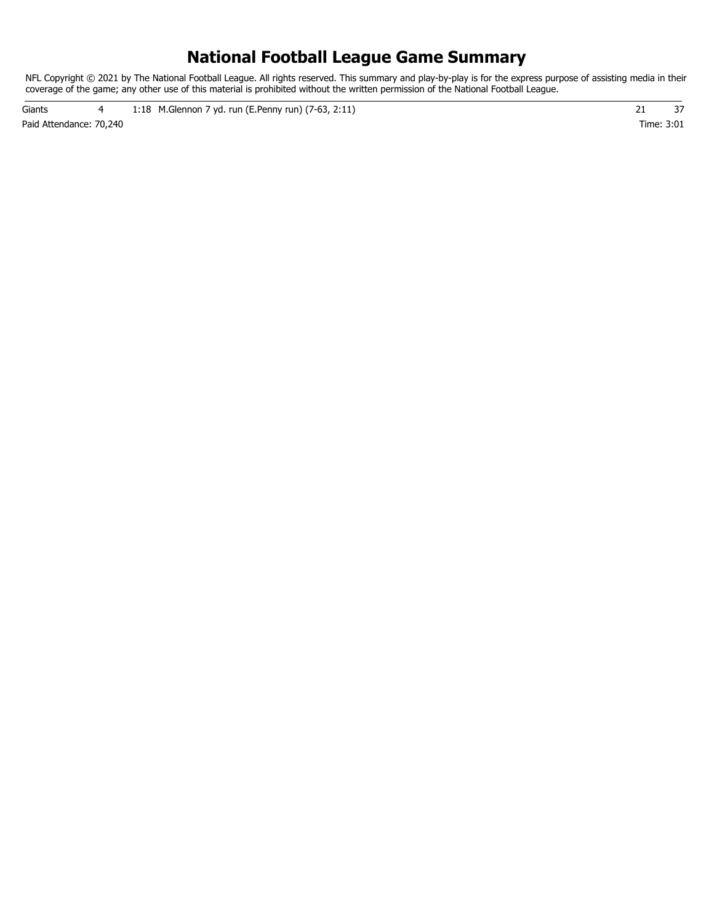### **National Football League Game Summary**

NFL Copyright © 2021 by The National Football League. All rights reserved. This summary and play-by-play is for the express purpose of assisting media in their coverage of the game; any other use of this material is prohibited without the written permission of the National Football League.

Paid Attendance: 70,240 Time: 3:01 Giants 4 1:18 M.Glennon 7 yd. run (E.Penny run) (7-63, 2:11) 21 37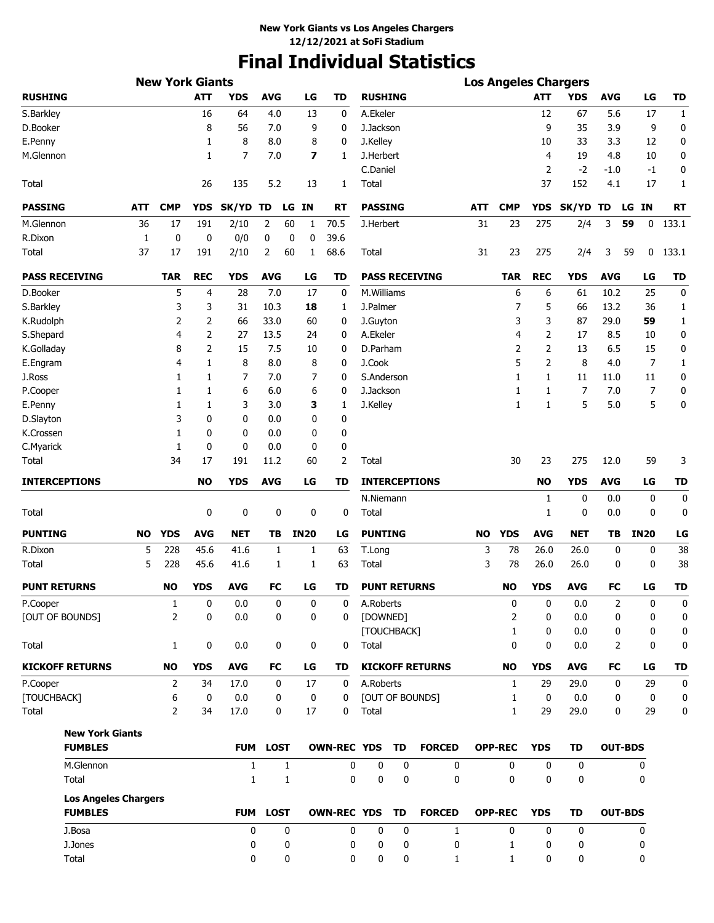# **Final Individual Statistics**

|                             |            | <b>New York Giants</b> |                |              |                 |                          |                    |                     |           |                        |     |                |                | <b>Los Angeles Chargers</b> |            |                |              |
|-----------------------------|------------|------------------------|----------------|--------------|-----------------|--------------------------|--------------------|---------------------|-----------|------------------------|-----|----------------|----------------|-----------------------------|------------|----------------|--------------|
| <b>RUSHING</b>              |            |                        | <b>ATT</b>     | <b>YDS</b>   | <b>AVG</b>      | LG                       | TD                 | <b>RUSHING</b>      |           |                        |     |                | <b>ATT</b>     | <b>YDS</b>                  | <b>AVG</b> | LG             | TD           |
| S.Barkley                   |            |                        | 16             | 64           | 4.0             | 13                       | 0                  | A.Ekeler            |           |                        |     |                | 12             | 67                          | 5.6        | 17             | 1            |
| D.Booker                    |            |                        | 8              | 56           | 7.0             | 9                        | 0                  | J.Jackson           |           |                        |     |                | 9              | 35                          | 3.9        | 9              | 0            |
| E.Penny                     |            |                        | 1              | 8            | 8.0             | 8                        | 0                  | J.Kelley            |           |                        |     |                | 10             | 33                          | 3.3        | 12             | 0            |
| M.Glennon                   |            |                        | 1              | 7            | 7.0             | $\overline{\phantom{a}}$ | 1                  | J.Herbert           |           |                        |     |                | 4              | 19                          | 4.8        | 10             | 0            |
|                             |            |                        |                |              |                 |                          |                    | C.Daniel            |           |                        |     |                | 2              | $-2$                        | -1.0       | $-1$           | 0            |
| Total                       |            |                        | 26             | 135          | 5.2             | 13                       | 1                  | Total               |           |                        |     |                | 37             | 152                         | 4.1        | 17             | $\mathbf{1}$ |
| <b>PASSING</b>              | <b>ATT</b> | <b>CMP</b>             | <b>YDS</b>     | SK/YD TD     |                 | LG IN                    | <b>RT</b>          | <b>PASSING</b>      |           |                        | ATT | <b>CMP</b>     | <b>YDS</b>     | <b>SK/YD</b>                | TD         | LG IN          | <b>RT</b>    |
| M.Glennon                   | 36         | 17                     | 191            | 2/10         | 2<br>60         | 1                        | 70.5               | J.Herbert           |           |                        | 31  | 23             | 275            | 2/4                         | 3          | 59<br>0        | 133.1        |
| R.Dixon                     | 1          | 0                      | 0              | 0/0          | 0               | 0<br>0                   | 39.6               |                     |           |                        |     |                |                |                             |            |                |              |
| Total                       | 37         | 17                     | 191            | 2/10         | 2<br>60         | 1                        | 68.6               | Total               |           |                        | 31  | 23             | 275            | 2/4                         | 3          | 59<br>0        | 133.1        |
| <b>PASS RECEIVING</b>       |            | <b>TAR</b>             | <b>REC</b>     | <b>YDS</b>   | <b>AVG</b>      | LG                       | <b>TD</b>          |                     |           | <b>PASS RECEIVING</b>  |     | <b>TAR</b>     | <b>REC</b>     | <b>YDS</b>                  | <b>AVG</b> | LG             | <b>TD</b>    |
| D.Booker                    |            | 5                      | $\overline{4}$ | 28           | 7.0             | 17                       | 0                  | M.Williams          |           |                        |     | 6              | 6              | 61                          | 10.2       | 25             | 0            |
| S.Barkley                   |            | 3                      | 3              | 31           | 10.3            | 18                       | 1                  | J.Palmer            |           |                        |     | 7              | 5              | 66                          | 13.2       | 36             | 1            |
| K.Rudolph                   |            | 2                      | 2              | 66           | 33.0            | 60                       | 0                  | J.Guyton            |           |                        |     | 3              | 3              | 87                          | 29.0       | 59             | $\mathbf{1}$ |
| S.Shepard                   |            | 4                      | 2              | 27           | 13.5            | 24                       | 0                  | A.Ekeler            |           |                        |     | 4              | $\overline{2}$ | 17                          | 8.5        | 10             | 0            |
| K.Golladay                  |            | 8                      | 2              | 15           | 7.5             | 10                       | 0                  | D.Parham            |           |                        |     | 2              | 2              | 13                          | 6.5        | 15             | 0            |
| E.Engram                    |            | 4                      | 1              | 8            | 8.0             | 8                        | 0                  | J.Cook              |           |                        |     | 5              | $\overline{2}$ | 8                           | 4.0        | 7              | 1            |
| J.Ross                      |            | 1                      | 1              | 7            | 7.0             | 7                        | 0                  | S.Anderson          |           |                        |     | 1              | 1              | 11                          | 11.0       | 11             | 0            |
| P.Cooper                    |            | 1                      | 1              | 6            | 6.0             | 6                        | 0                  | J.Jackson           |           |                        |     | 1              | 1              | 7                           | 7.0        | 7              | 0            |
| E.Penny                     |            | 1                      | 1              | 3            | 3.0             | з                        | 1                  | J.Kelley            |           |                        |     | 1              | $\mathbf{1}$   | 5                           | 5.0        | 5              | 0            |
| D.Slayton                   |            | 3                      | 0              | 0            | 0.0             | 0                        | 0                  |                     |           |                        |     |                |                |                             |            |                |              |
| K.Crossen                   |            | 1                      | 0              | 0            | 0.0             | 0                        | 0                  |                     |           |                        |     |                |                |                             |            |                |              |
| C.Myarick                   |            | 1                      | 0              | 0            | 0.0             | 0                        | 0                  |                     |           |                        |     |                |                |                             |            |                |              |
| Total                       |            | 34                     | 17             | 191          | 11.2            | 60                       | 2                  | Total               |           |                        |     | 30             | 23             | 275                         | 12.0       | 59             | 3            |
| <b>INTERCEPTIONS</b>        |            |                        | <b>NO</b>      | <b>YDS</b>   | <b>AVG</b>      | LG                       | TD                 |                     |           | <b>INTERCEPTIONS</b>   |     |                | <b>NO</b>      | <b>YDS</b>                  | <b>AVG</b> | LG             | <b>TD</b>    |
|                             |            |                        |                |              |                 |                          |                    | N.Niemann           |           |                        |     |                | 1              | 0                           | 0.0        | 0              | 0            |
| Total                       |            |                        | 0              | 0            | 0               | 0                        | 0                  | Total               |           |                        |     |                | 1              | 0                           | 0.0        | 0              | 0            |
| <b>PUNTING</b>              | NO         | <b>YDS</b>             | <b>AVG</b>     | <b>NET</b>   | TB              | <b>IN20</b>              | LG                 | <b>PUNTING</b>      |           |                        | NO  | <b>YDS</b>     | <b>AVG</b>     | NET                         | TΒ         | <b>IN20</b>    | LG           |
| R.Dixon                     | 5          | 228                    | 45.6           | 41.6         | 1               | 1                        | 63                 | T.Long              |           |                        | 3   | 78             | 26.0           | 26.0                        | 0          | 0              | 38           |
| Total                       | 5          | 228                    | 45.6           | 41.6         | 1               | 1                        | 63                 | Total               |           |                        | 3   | 78             | 26.0           | 26.0                        | 0          | 0              | 38           |
| <b>PUNT RETURNS</b>         |            | <b>NO</b>              | <b>YDS</b>     | <b>AVG</b>   | <b>FC</b>       | LG                       | TD                 | <b>PUNT RETURNS</b> |           |                        |     | <b>NO</b>      | <b>YDS</b>     | <b>AVG</b>                  | FC         | LG             | TD           |
| P.Cooper                    |            | 1                      | 0              | 0.0          | 0               | 0                        | 0                  | A.Roberts           |           |                        |     | 0              | 0              | 0.0                         | 2          | 0              | 0            |
| [OUT OF BOUNDS]             |            | $\overline{2}$         | 0              | 0.0          | 0               | 0                        | 0                  | [DOWNED]            |           |                        |     | 2              | 0              | 0.0                         | 0          | 0              | 0            |
|                             |            |                        |                |              |                 |                          |                    | [TOUCHBACK]         |           |                        |     | 1              | 0              | 0.0                         | 0          | 0              | 0            |
| Total                       |            | 1                      | 0              | 0.0          | 0               | 0                        | 0                  | Total               |           |                        |     | 0              | 0              | 0.0                         | 2          | 0              | 0            |
| <b>KICKOFF RETURNS</b>      |            | NO                     | <b>YDS</b>     | <b>AVG</b>   | FC              | LG                       | TD                 |                     |           | <b>KICKOFF RETURNS</b> |     | <b>NO</b>      | <b>YDS</b>     | <b>AVG</b>                  | FC         | LG             | <b>TD</b>    |
| P.Cooper                    |            | 2                      | 34             | 17.0         | 0               | 17                       | 0                  | A.Roberts           |           |                        |     | 1              | 29             | 29.0                        | 0          | 29             | 0            |
| [TOUCHBACK]                 |            | 6                      | 0              | 0.0          | 0               | 0                        | 0                  |                     |           | [OUT OF BOUNDS]        |     | 1              | 0              | 0.0                         | 0          | 0              | 0            |
| Total                       |            | 2                      | 34             | 17.0         | 0               | 17                       | 0                  | Total               |           |                        |     | $\mathbf{1}$   | 29             | 29.0                        | 0          | 29             | 0            |
| <b>New York Giants</b>      |            |                        |                |              |                 |                          |                    |                     |           |                        |     |                |                |                             |            |                |              |
| <b>FUMBLES</b>              |            |                        |                |              | <b>FUM LOST</b> |                          | <b>OWN-REC YDS</b> |                     | <b>TD</b> | <b>FORCED</b>          |     | <b>OPP-REC</b> | <b>YDS</b>     | <b>TD</b>                   |            | <b>OUT-BDS</b> |              |
| M.Glennon                   |            |                        |                | $\mathbf{1}$ | 1               |                          | 0                  | 0                   | 0         | 0                      |     | 0              | 0              | 0                           |            | 0              |              |
| Total                       |            |                        |                | $\mathbf{1}$ | 1               |                          | 0                  | $\mathbf 0$         | 0         | 0                      |     | 0              | 0              | 0                           |            | 0              |              |
| <b>Los Angeles Chargers</b> |            |                        |                |              |                 |                          |                    |                     |           |                        |     |                |                |                             |            |                |              |
| <b>FUMBLES</b>              |            |                        |                |              | <b>FUM LOST</b> |                          | <b>OWN-REC YDS</b> |                     | <b>TD</b> | <b>FORCED</b>          |     | <b>OPP-REC</b> | <b>YDS</b>     | <b>TD</b>                   |            | <b>OUT-BDS</b> |              |
| J.Bosa                      |            |                        |                | 0            | 0               |                          | 0                  | $\mathbf 0$         | 0         | $\mathbf{1}$           |     | $\mathbf{0}$   | $\Omega$       | $\mathbf 0$                 |            | 0              |              |
| J.Jones                     |            |                        |                | 0            | 0               |                          | 0                  | 0                   | 0         | 0                      |     | $\mathbf{1}$   | 0              | 0                           |            | 0              |              |
| Total                       |            |                        |                | 0            | 0               |                          | 0                  | 0                   | 0         | 1                      |     | $\mathbf{1}$   | 0              | 0                           |            | 0              |              |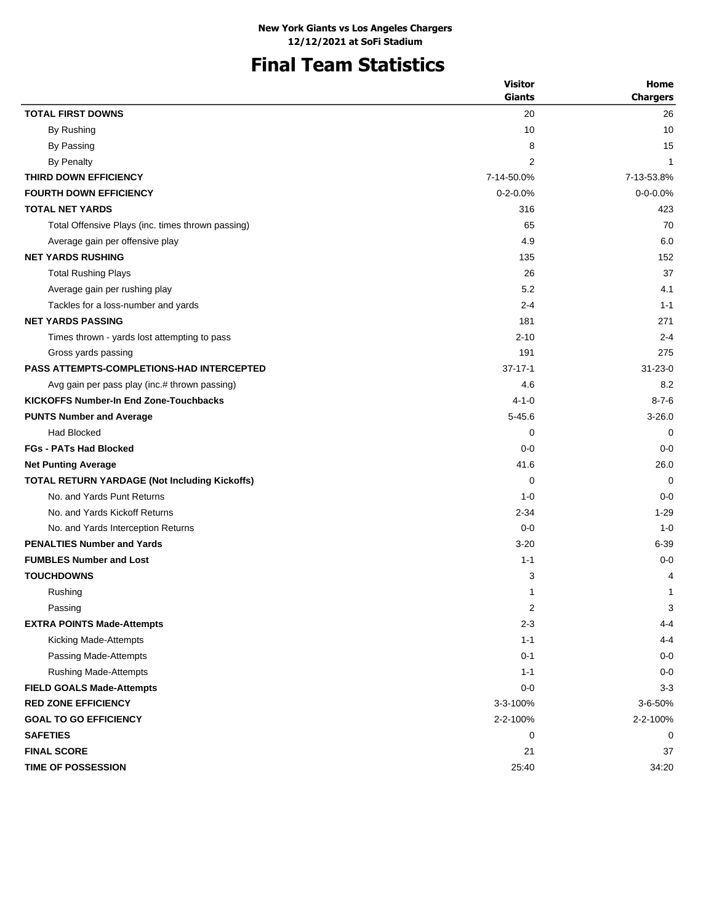# **Final Team Statistics**

| <b>TOTAL FIRST DOWNS</b><br>20<br>26<br>By Rushing<br>10<br>10<br>By Passing<br>8<br>15<br><b>By Penalty</b><br>2<br>$\mathbf{1}$<br>7-13-53.8%<br>THIRD DOWN EFFICIENCY<br>7-14-50.0%<br>$0 - 0 - 0.0\%$<br><b>FOURTH DOWN EFFICIENCY</b><br>$0 - 2 - 0.0%$<br><b>TOTAL NET YARDS</b><br>316<br>423<br>Total Offensive Plays (inc. times thrown passing)<br>65<br>70<br>4.9<br>6.0<br>Average gain per offensive play<br><b>NET YARDS RUSHING</b><br>135<br>152<br>37<br><b>Total Rushing Plays</b><br>26<br>5.2<br>4.1<br>Average gain per rushing play<br>Tackles for a loss-number and yards<br>$2 - 4$<br>$1 - 1$<br><b>NET YARDS PASSING</b><br>181<br>271<br>$2 - 10$<br>$2 - 4$<br>Times thrown - yards lost attempting to pass<br>275<br>Gross yards passing<br>191<br><b>PASS ATTEMPTS-COMPLETIONS-HAD INTERCEPTED</b><br>$37 - 17 - 1$<br>$31 - 23 - 0$<br>4.6<br>8.2<br>Avg gain per pass play (inc.# thrown passing)<br><b>KICKOFFS Number-In End Zone-Touchbacks</b><br>$4 - 1 - 0$<br>$8 - 7 - 6$<br><b>PUNTS Number and Average</b><br>$5 - 45.6$<br>$3 - 26.0$<br><b>Had Blocked</b><br>0<br>0<br><b>FGs - PATs Had Blocked</b><br>$0 - 0$<br>$0 - 0$<br>41.6<br><b>Net Punting Average</b><br>26.0<br>TOTAL RETURN YARDAGE (Not Including Kickoffs)<br>0<br>$\Omega$<br>No. and Yards Punt Returns<br>$0 - 0$<br>$1 - 0$<br>No. and Yards Kickoff Returns<br>$2 - 34$<br>$1 - 29$<br>$0 - 0$<br>$1 - 0$<br>No. and Yards Interception Returns<br><b>PENALTIES Number and Yards</b><br>$3 - 20$<br>$6 - 39$<br><b>FUMBLES Number and Lost</b><br>$1 - 1$<br>$0 - 0$<br><b>TOUCHDOWNS</b><br>3<br>4<br>Rushing<br>1<br>1<br>$\ensuremath{\mathsf{3}}$<br>2<br>Passing<br>$2 - 3$<br>$4 - 4$<br><b>EXTRA POINTS Made-Attempts</b><br>Kicking Made-Attempts<br>$1 - 1$<br>$4 - 4$<br>$0 - 1$<br>$0-0$<br>Passing Made-Attempts<br>$0-0$<br><b>Rushing Made-Attempts</b><br>$1 - 1$<br>$3 - 3$<br><b>FIELD GOALS Made-Attempts</b><br>$0-0$<br><b>RED ZONE EFFICIENCY</b><br>3-3-100%<br>3-6-50%<br><b>GOAL TO GO EFFICIENCY</b><br>2-2-100%<br>2-2-100%<br><b>SAFETIES</b><br>0<br>0<br><b>FINAL SCORE</b><br>21<br>37 | <b>Visitor</b> | Home            |
|--------------------------------------------------------------------------------------------------------------------------------------------------------------------------------------------------------------------------------------------------------------------------------------------------------------------------------------------------------------------------------------------------------------------------------------------------------------------------------------------------------------------------------------------------------------------------------------------------------------------------------------------------------------------------------------------------------------------------------------------------------------------------------------------------------------------------------------------------------------------------------------------------------------------------------------------------------------------------------------------------------------------------------------------------------------------------------------------------------------------------------------------------------------------------------------------------------------------------------------------------------------------------------------------------------------------------------------------------------------------------------------------------------------------------------------------------------------------------------------------------------------------------------------------------------------------------------------------------------------------------------------------------------------------------------------------------------------------------------------------------------------------------------------------------------------------------------------------------------------------------------------------------------------------------------------------------------------------------------------------------------------------------------------------------------------------------------------------------------------------------------------|----------------|-----------------|
|                                                                                                                                                                                                                                                                                                                                                                                                                                                                                                                                                                                                                                                                                                                                                                                                                                                                                                                                                                                                                                                                                                                                                                                                                                                                                                                                                                                                                                                                                                                                                                                                                                                                                                                                                                                                                                                                                                                                                                                                                                                                                                                                      | <b>Giants</b>  | <b>Chargers</b> |
|                                                                                                                                                                                                                                                                                                                                                                                                                                                                                                                                                                                                                                                                                                                                                                                                                                                                                                                                                                                                                                                                                                                                                                                                                                                                                                                                                                                                                                                                                                                                                                                                                                                                                                                                                                                                                                                                                                                                                                                                                                                                                                                                      |                |                 |
|                                                                                                                                                                                                                                                                                                                                                                                                                                                                                                                                                                                                                                                                                                                                                                                                                                                                                                                                                                                                                                                                                                                                                                                                                                                                                                                                                                                                                                                                                                                                                                                                                                                                                                                                                                                                                                                                                                                                                                                                                                                                                                                                      |                |                 |
|                                                                                                                                                                                                                                                                                                                                                                                                                                                                                                                                                                                                                                                                                                                                                                                                                                                                                                                                                                                                                                                                                                                                                                                                                                                                                                                                                                                                                                                                                                                                                                                                                                                                                                                                                                                                                                                                                                                                                                                                                                                                                                                                      |                |                 |
|                                                                                                                                                                                                                                                                                                                                                                                                                                                                                                                                                                                                                                                                                                                                                                                                                                                                                                                                                                                                                                                                                                                                                                                                                                                                                                                                                                                                                                                                                                                                                                                                                                                                                                                                                                                                                                                                                                                                                                                                                                                                                                                                      |                |                 |
|                                                                                                                                                                                                                                                                                                                                                                                                                                                                                                                                                                                                                                                                                                                                                                                                                                                                                                                                                                                                                                                                                                                                                                                                                                                                                                                                                                                                                                                                                                                                                                                                                                                                                                                                                                                                                                                                                                                                                                                                                                                                                                                                      |                |                 |
|                                                                                                                                                                                                                                                                                                                                                                                                                                                                                                                                                                                                                                                                                                                                                                                                                                                                                                                                                                                                                                                                                                                                                                                                                                                                                                                                                                                                                                                                                                                                                                                                                                                                                                                                                                                                                                                                                                                                                                                                                                                                                                                                      |                |                 |
|                                                                                                                                                                                                                                                                                                                                                                                                                                                                                                                                                                                                                                                                                                                                                                                                                                                                                                                                                                                                                                                                                                                                                                                                                                                                                                                                                                                                                                                                                                                                                                                                                                                                                                                                                                                                                                                                                                                                                                                                                                                                                                                                      |                |                 |
|                                                                                                                                                                                                                                                                                                                                                                                                                                                                                                                                                                                                                                                                                                                                                                                                                                                                                                                                                                                                                                                                                                                                                                                                                                                                                                                                                                                                                                                                                                                                                                                                                                                                                                                                                                                                                                                                                                                                                                                                                                                                                                                                      |                |                 |
|                                                                                                                                                                                                                                                                                                                                                                                                                                                                                                                                                                                                                                                                                                                                                                                                                                                                                                                                                                                                                                                                                                                                                                                                                                                                                                                                                                                                                                                                                                                                                                                                                                                                                                                                                                                                                                                                                                                                                                                                                                                                                                                                      |                |                 |
|                                                                                                                                                                                                                                                                                                                                                                                                                                                                                                                                                                                                                                                                                                                                                                                                                                                                                                                                                                                                                                                                                                                                                                                                                                                                                                                                                                                                                                                                                                                                                                                                                                                                                                                                                                                                                                                                                                                                                                                                                                                                                                                                      |                |                 |
|                                                                                                                                                                                                                                                                                                                                                                                                                                                                                                                                                                                                                                                                                                                                                                                                                                                                                                                                                                                                                                                                                                                                                                                                                                                                                                                                                                                                                                                                                                                                                                                                                                                                                                                                                                                                                                                                                                                                                                                                                                                                                                                                      |                |                 |
|                                                                                                                                                                                                                                                                                                                                                                                                                                                                                                                                                                                                                                                                                                                                                                                                                                                                                                                                                                                                                                                                                                                                                                                                                                                                                                                                                                                                                                                                                                                                                                                                                                                                                                                                                                                                                                                                                                                                                                                                                                                                                                                                      |                |                 |
|                                                                                                                                                                                                                                                                                                                                                                                                                                                                                                                                                                                                                                                                                                                                                                                                                                                                                                                                                                                                                                                                                                                                                                                                                                                                                                                                                                                                                                                                                                                                                                                                                                                                                                                                                                                                                                                                                                                                                                                                                                                                                                                                      |                |                 |
|                                                                                                                                                                                                                                                                                                                                                                                                                                                                                                                                                                                                                                                                                                                                                                                                                                                                                                                                                                                                                                                                                                                                                                                                                                                                                                                                                                                                                                                                                                                                                                                                                                                                                                                                                                                                                                                                                                                                                                                                                                                                                                                                      |                |                 |
|                                                                                                                                                                                                                                                                                                                                                                                                                                                                                                                                                                                                                                                                                                                                                                                                                                                                                                                                                                                                                                                                                                                                                                                                                                                                                                                                                                                                                                                                                                                                                                                                                                                                                                                                                                                                                                                                                                                                                                                                                                                                                                                                      |                |                 |
|                                                                                                                                                                                                                                                                                                                                                                                                                                                                                                                                                                                                                                                                                                                                                                                                                                                                                                                                                                                                                                                                                                                                                                                                                                                                                                                                                                                                                                                                                                                                                                                                                                                                                                                                                                                                                                                                                                                                                                                                                                                                                                                                      |                |                 |
|                                                                                                                                                                                                                                                                                                                                                                                                                                                                                                                                                                                                                                                                                                                                                                                                                                                                                                                                                                                                                                                                                                                                                                                                                                                                                                                                                                                                                                                                                                                                                                                                                                                                                                                                                                                                                                                                                                                                                                                                                                                                                                                                      |                |                 |
|                                                                                                                                                                                                                                                                                                                                                                                                                                                                                                                                                                                                                                                                                                                                                                                                                                                                                                                                                                                                                                                                                                                                                                                                                                                                                                                                                                                                                                                                                                                                                                                                                                                                                                                                                                                                                                                                                                                                                                                                                                                                                                                                      |                |                 |
|                                                                                                                                                                                                                                                                                                                                                                                                                                                                                                                                                                                                                                                                                                                                                                                                                                                                                                                                                                                                                                                                                                                                                                                                                                                                                                                                                                                                                                                                                                                                                                                                                                                                                                                                                                                                                                                                                                                                                                                                                                                                                                                                      |                |                 |
|                                                                                                                                                                                                                                                                                                                                                                                                                                                                                                                                                                                                                                                                                                                                                                                                                                                                                                                                                                                                                                                                                                                                                                                                                                                                                                                                                                                                                                                                                                                                                                                                                                                                                                                                                                                                                                                                                                                                                                                                                                                                                                                                      |                |                 |
|                                                                                                                                                                                                                                                                                                                                                                                                                                                                                                                                                                                                                                                                                                                                                                                                                                                                                                                                                                                                                                                                                                                                                                                                                                                                                                                                                                                                                                                                                                                                                                                                                                                                                                                                                                                                                                                                                                                                                                                                                                                                                                                                      |                |                 |
|                                                                                                                                                                                                                                                                                                                                                                                                                                                                                                                                                                                                                                                                                                                                                                                                                                                                                                                                                                                                                                                                                                                                                                                                                                                                                                                                                                                                                                                                                                                                                                                                                                                                                                                                                                                                                                                                                                                                                                                                                                                                                                                                      |                |                 |
|                                                                                                                                                                                                                                                                                                                                                                                                                                                                                                                                                                                                                                                                                                                                                                                                                                                                                                                                                                                                                                                                                                                                                                                                                                                                                                                                                                                                                                                                                                                                                                                                                                                                                                                                                                                                                                                                                                                                                                                                                                                                                                                                      |                |                 |
|                                                                                                                                                                                                                                                                                                                                                                                                                                                                                                                                                                                                                                                                                                                                                                                                                                                                                                                                                                                                                                                                                                                                                                                                                                                                                                                                                                                                                                                                                                                                                                                                                                                                                                                                                                                                                                                                                                                                                                                                                                                                                                                                      |                |                 |
|                                                                                                                                                                                                                                                                                                                                                                                                                                                                                                                                                                                                                                                                                                                                                                                                                                                                                                                                                                                                                                                                                                                                                                                                                                                                                                                                                                                                                                                                                                                                                                                                                                                                                                                                                                                                                                                                                                                                                                                                                                                                                                                                      |                |                 |
|                                                                                                                                                                                                                                                                                                                                                                                                                                                                                                                                                                                                                                                                                                                                                                                                                                                                                                                                                                                                                                                                                                                                                                                                                                                                                                                                                                                                                                                                                                                                                                                                                                                                                                                                                                                                                                                                                                                                                                                                                                                                                                                                      |                |                 |
|                                                                                                                                                                                                                                                                                                                                                                                                                                                                                                                                                                                                                                                                                                                                                                                                                                                                                                                                                                                                                                                                                                                                                                                                                                                                                                                                                                                                                                                                                                                                                                                                                                                                                                                                                                                                                                                                                                                                                                                                                                                                                                                                      |                |                 |
|                                                                                                                                                                                                                                                                                                                                                                                                                                                                                                                                                                                                                                                                                                                                                                                                                                                                                                                                                                                                                                                                                                                                                                                                                                                                                                                                                                                                                                                                                                                                                                                                                                                                                                                                                                                                                                                                                                                                                                                                                                                                                                                                      |                |                 |
|                                                                                                                                                                                                                                                                                                                                                                                                                                                                                                                                                                                                                                                                                                                                                                                                                                                                                                                                                                                                                                                                                                                                                                                                                                                                                                                                                                                                                                                                                                                                                                                                                                                                                                                                                                                                                                                                                                                                                                                                                                                                                                                                      |                |                 |
|                                                                                                                                                                                                                                                                                                                                                                                                                                                                                                                                                                                                                                                                                                                                                                                                                                                                                                                                                                                                                                                                                                                                                                                                                                                                                                                                                                                                                                                                                                                                                                                                                                                                                                                                                                                                                                                                                                                                                                                                                                                                                                                                      |                |                 |
|                                                                                                                                                                                                                                                                                                                                                                                                                                                                                                                                                                                                                                                                                                                                                                                                                                                                                                                                                                                                                                                                                                                                                                                                                                                                                                                                                                                                                                                                                                                                                                                                                                                                                                                                                                                                                                                                                                                                                                                                                                                                                                                                      |                |                 |
|                                                                                                                                                                                                                                                                                                                                                                                                                                                                                                                                                                                                                                                                                                                                                                                                                                                                                                                                                                                                                                                                                                                                                                                                                                                                                                                                                                                                                                                                                                                                                                                                                                                                                                                                                                                                                                                                                                                                                                                                                                                                                                                                      |                |                 |
|                                                                                                                                                                                                                                                                                                                                                                                                                                                                                                                                                                                                                                                                                                                                                                                                                                                                                                                                                                                                                                                                                                                                                                                                                                                                                                                                                                                                                                                                                                                                                                                                                                                                                                                                                                                                                                                                                                                                                                                                                                                                                                                                      |                |                 |
|                                                                                                                                                                                                                                                                                                                                                                                                                                                                                                                                                                                                                                                                                                                                                                                                                                                                                                                                                                                                                                                                                                                                                                                                                                                                                                                                                                                                                                                                                                                                                                                                                                                                                                                                                                                                                                                                                                                                                                                                                                                                                                                                      |                |                 |
|                                                                                                                                                                                                                                                                                                                                                                                                                                                                                                                                                                                                                                                                                                                                                                                                                                                                                                                                                                                                                                                                                                                                                                                                                                                                                                                                                                                                                                                                                                                                                                                                                                                                                                                                                                                                                                                                                                                                                                                                                                                                                                                                      |                |                 |
|                                                                                                                                                                                                                                                                                                                                                                                                                                                                                                                                                                                                                                                                                                                                                                                                                                                                                                                                                                                                                                                                                                                                                                                                                                                                                                                                                                                                                                                                                                                                                                                                                                                                                                                                                                                                                                                                                                                                                                                                                                                                                                                                      |                |                 |
|                                                                                                                                                                                                                                                                                                                                                                                                                                                                                                                                                                                                                                                                                                                                                                                                                                                                                                                                                                                                                                                                                                                                                                                                                                                                                                                                                                                                                                                                                                                                                                                                                                                                                                                                                                                                                                                                                                                                                                                                                                                                                                                                      |                |                 |
|                                                                                                                                                                                                                                                                                                                                                                                                                                                                                                                                                                                                                                                                                                                                                                                                                                                                                                                                                                                                                                                                                                                                                                                                                                                                                                                                                                                                                                                                                                                                                                                                                                                                                                                                                                                                                                                                                                                                                                                                                                                                                                                                      |                |                 |
|                                                                                                                                                                                                                                                                                                                                                                                                                                                                                                                                                                                                                                                                                                                                                                                                                                                                                                                                                                                                                                                                                                                                                                                                                                                                                                                                                                                                                                                                                                                                                                                                                                                                                                                                                                                                                                                                                                                                                                                                                                                                                                                                      |                |                 |
|                                                                                                                                                                                                                                                                                                                                                                                                                                                                                                                                                                                                                                                                                                                                                                                                                                                                                                                                                                                                                                                                                                                                                                                                                                                                                                                                                                                                                                                                                                                                                                                                                                                                                                                                                                                                                                                                                                                                                                                                                                                                                                                                      |                |                 |
|                                                                                                                                                                                                                                                                                                                                                                                                                                                                                                                                                                                                                                                                                                                                                                                                                                                                                                                                                                                                                                                                                                                                                                                                                                                                                                                                                                                                                                                                                                                                                                                                                                                                                                                                                                                                                                                                                                                                                                                                                                                                                                                                      |                |                 |
| TIME OF POSSESSION<br>25:40<br>34:20                                                                                                                                                                                                                                                                                                                                                                                                                                                                                                                                                                                                                                                                                                                                                                                                                                                                                                                                                                                                                                                                                                                                                                                                                                                                                                                                                                                                                                                                                                                                                                                                                                                                                                                                                                                                                                                                                                                                                                                                                                                                                                 |                |                 |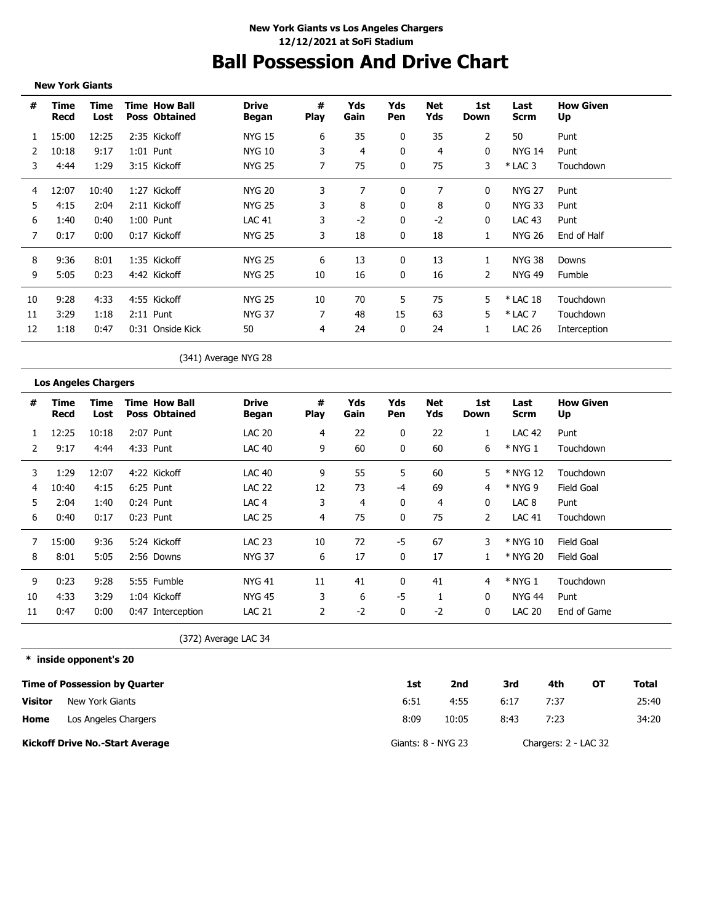# **Ball Possession And Drive Chart**

**New York Giants**

| #  | Time<br>Recd | Time<br>Lost | <b>Time How Ball</b><br><b>Poss Obtained</b> | <b>Drive</b><br>Began | #<br><b>Play</b> | Yds<br>Gain | Yds<br>Pen | Net<br>Yds | 1st<br>Down  | Last<br>Scrm  | <b>How Given</b><br>Up |
|----|--------------|--------------|----------------------------------------------|-----------------------|------------------|-------------|------------|------------|--------------|---------------|------------------------|
|    | 15:00        | 12:25        | 2:35 Kickoff                                 | <b>NYG 15</b>         | 6                | 35          | 0          | 35         | 2            | 50            | Punt                   |
|    | 10:18        | 9:17         | $1:01$ Punt                                  | <b>NYG 10</b>         | 3                | 4           | 0          | 4          | 0            | <b>NYG 14</b> | Punt                   |
| 3  | 4:44         | 1:29         | 3:15 Kickoff                                 | <b>NYG 25</b>         |                  | 75          | 0          | 75         | 3            | $*$ LAC 3     | Touchdown              |
| 4  | 12:07        | 10:40        | 1:27 Kickoff                                 | <b>NYG 20</b>         | 3                | 7           | 0          |            | $\mathbf{0}$ | <b>NYG 27</b> | Punt                   |
| 5  | 4:15         | 2:04         | 2:11 Kickoff                                 | <b>NYG 25</b>         | 3                | 8           | 0          | 8          | $\Omega$     | <b>NYG 33</b> | Punt                   |
| 6  | 1:40         | 0:40         | 1:00 Punt                                    | <b>LAC 41</b>         | 3.               | $-2$        | 0          | $-2$       | 0            | LAC 43        | Punt                   |
|    | 0:17         | 0:00         | 0:17 Kickoff                                 | <b>NYG 25</b>         | 3                | 18          | 0          | 18         | 1            | <b>NYG 26</b> | End of Half            |
| 8  | 9:36         | 8:01         | 1:35 Kickoff                                 | <b>NYG 25</b>         | 6                | 13          | 0          | 13         |              | <b>NYG 38</b> | Downs                  |
| 9  | 5:05         | 0:23         | 4:42 Kickoff                                 | <b>NYG 25</b>         | 10               | 16          | 0          | 16         | 2            | NYG 49        | Fumble                 |
| 10 | 9:28         | 4:33         | 4:55 Kickoff                                 | <b>NYG 25</b>         | 10               | 70          | 5          | 75         | 5.           | $*$ LAC 18    | Touchdown              |
| 11 | 3:29         | 1:18         | $2:11$ Punt                                  | <b>NYG 37</b>         |                  | 48          | 15         | 63         | 5.           | $*$ LAC 7     | Touchdown              |
| 12 | 1:18         | 0:47         | 0:31 Onside Kick                             | 50                    | 4                | 24          | 0          | 24         | 1            | <b>LAC 26</b> | Interception           |

(341) Average NYG 28

### **Los Angeles Chargers**

| #  | Time<br>Recd | Time<br>Lost | <b>Time How Ball</b><br><b>Poss Obtained</b> | <b>Drive</b><br>Began | #<br><b>Play</b> | Yds<br>Gain | Yds<br>Pen | Net<br>Yds | 1st<br>Down | Last<br>Scrm  | <b>How Given</b><br>Up |
|----|--------------|--------------|----------------------------------------------|-----------------------|------------------|-------------|------------|------------|-------------|---------------|------------------------|
|    | 12:25        | 10:18        | 2:07 Punt                                    | <b>LAC 20</b>         | 4                | 22          | 0          | 22         |             | <b>LAC 42</b> | Punt                   |
|    | 9:17         | 4:44         | 4:33 Punt                                    | LAC 40                | 9                | 60          | 0          | 60         | 6           | $*$ NYG 1     | Touchdown              |
| 3  | 1:29         | 12:07        | 4:22 Kickoff                                 | LAC 40                | 9                | 55          | 5          | 60         | 5           | * NYG 12      | Touchdown              |
| 4  | 10:40        | 4:15         | 6:25 Punt                                    | <b>LAC 22</b>         | 12               | 73          | $-4$       | 69         | 4           | * NYG 9       | <b>Field Goal</b>      |
| 5  | 2:04         | 1:40         | $0:24$ Punt                                  | LAC <sub>4</sub>      | 3                | 4           | 0          | 4          | 0           | LAC 8         | Punt                   |
| 6  | 0:40         | 0:17         | $0:23$ Punt                                  | <b>LAC 25</b>         | 4                | 75          | 0          | 75         | 2           | <b>LAC 41</b> | Touchdown              |
|    | 15:00        | 9:36         | 5:24 Kickoff                                 | <b>LAC 23</b>         | 10               | 72          | -5         | 67         | 3           | * NYG 10      | Field Goal             |
| 8  | 8:01         | 5:05         | 2:56 Downs                                   | <b>NYG 37</b>         | 6                | 17          | 0          | 17         |             | * NYG 20      | Field Goal             |
| 9  | 0:23         | 9:28         | 5:55 Fumble                                  | <b>NYG 41</b>         | 11               | 41          |            | 41         | 4           | $*$ NYG 1     | Touchdown              |
| 10 | 4:33         | 3:29         | 1:04 Kickoff                                 | NYG 45                | 3                | 6           | -5         |            | 0           | NYG 44        | Punt                   |
| 11 | 0:47         | 0:00         | 0:47 Interception                            | <b>LAC 21</b>         | 2                | $-2$        | 0          | $-2$       | 0           | <b>LAC 20</b> | End of Game            |

(372) Average LAC 34

**\* inside opponent's 20**

|                | <b>Time of Possession by Quarter</b>   | 1st                | 2nd   | 3rd  | 4th                  | ΟТ | Total |
|----------------|----------------------------------------|--------------------|-------|------|----------------------|----|-------|
| <b>Visitor</b> | New York Giants                        | 6:51               | 4:55  | 6:17 | 7:37                 |    | 25:40 |
| Home           | Los Angeles Chargers                   | 8:09               | 10:05 | 8:43 | 7:23                 |    | 34:20 |
|                | <b>Kickoff Drive No.-Start Average</b> | Giants: 8 - NYG 23 |       |      | Chargers: 2 - LAC 32 |    |       |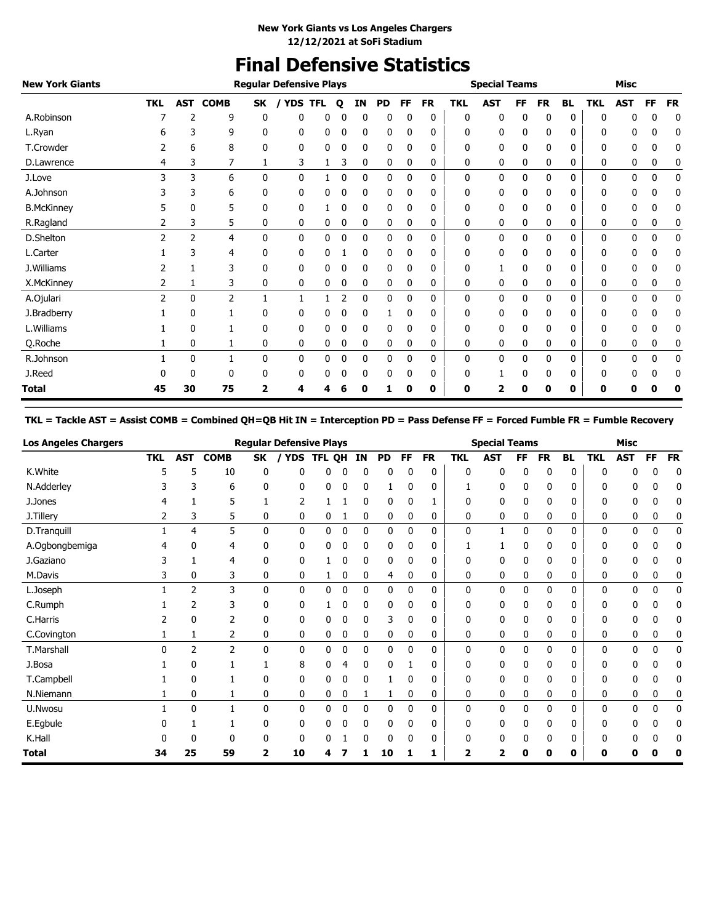## **Final Defensive Statistics**

| <b>New York Giants</b> |               |                |                |              | <b>Regular Defensive Plays</b> |            |   |              |           |          |           |            | <b>Special Teams</b> |              |           |           |            | <b>Misc</b>  |           |           |
|------------------------|---------------|----------------|----------------|--------------|--------------------------------|------------|---|--------------|-----------|----------|-----------|------------|----------------------|--------------|-----------|-----------|------------|--------------|-----------|-----------|
|                        | <b>TKL</b>    | <b>AST</b>     | <b>COMB</b>    | SK           | <b>YDS</b>                     | <b>TFL</b> | Q | ΙN           | <b>PD</b> | FF       | <b>FR</b> | <b>TKL</b> | <b>AST</b>           | FF           | <b>FR</b> | <b>BL</b> | <b>TKL</b> | <b>AST</b>   | <b>FF</b> | <b>FR</b> |
| A.Robinson             |               |                | 9              | 0            | 0                              | 0          |   | 0            | 0         |          | 0         | 0          | 0                    | 0            | 0         | 0         | 0          |              | 0         | 0         |
| L.Ryan                 |               | 3              | 9              | 0            | 0                              | 0          | 0 | 0            | 0         | 0        | 0         | 0          | 0                    | 0            | 0         | 0         | 0          | 0            | 0         | 0         |
| T.Crowder              |               | 6              | 8              | 0            | 0                              | 0          | 0 | 0            | 0         | 0        | 0         | 0          | 0                    | 0            | 0         | 0         | 0          | 0            | 0         | 0         |
| D.Lawrence             | 4             | 3              |                | 1            | 3                              | 1          | 3 | 0            | 0         | 0        | 0         | 0          | 0                    | 0            | 0         | 0         | 0          | 0            | 0         | 0         |
| J.Love                 | 3             | 3              | 6              | 0            | 0                              |            | 0 | $\mathbf{0}$ | 0         | 0        | 0         | 0          | 0                    | $\mathbf{0}$ | 0         | 0         | 0          | 0            | 0         | 0         |
| A.Johnson              |               | 3              | 6              | 0            | 0                              | 0          | 0 | 0            | 0         | $\Omega$ | 0         | 0          | 0                    | 0            | 0         | 0         | 0          | 0            | 0         | 0         |
| <b>B.McKinney</b>      |               | 0              | 5              | 0            | 0                              |            | 0 | 0            | 0         | 0        | 0         | 0          | 0                    | 0            | 0         | 0         | 0          | 0            | 0         | 0         |
| R.Ragland              | 2             | 3              | 5              | 0            | 0                              | 0          | 0 | 0            | 0         | 0        | 0         | 0          | 0                    | 0            | 0         | 0         | 0          | 0            | 0         | 0         |
| D.Shelton              | $\mathcal{P}$ | $\overline{2}$ | 4              | $\mathbf{0}$ | 0                              | 0          | 0 | 0            | 0         | 0        | 0         | 0          | 0                    | 0            | 0         | 0         | 0          | 0            | 0         | 0         |
| L.Carter               |               | 3              | 4              | 0            | 0                              | 0          |   | 0            | 0         | 0        | 0         | 0          | 0                    | 0            | 0         | 0         | 0          | 0            | 0         | 0         |
| J.Williams             |               |                | 3              | 0            | 0                              | 0          | 0 | 0            | 0         | 0        | 0         | 0          |                      | 0            | 0         | 0         | 0          | 0            | 0         | 0         |
| X.McKinney             | 2             |                | 3              | 0            | 0                              | 0          | 0 | 0            | 0         | 0        | 0         | 0          | 0                    | 0            | 0         | 0         | 0          | 0            | 0         | 0         |
| A.Ojulari              | 2             | $\Omega$       | $\overline{2}$ |              |                                |            | 2 | 0            | 0         | $\Omega$ | 0         | 0          | 0                    | 0            | 0         | 0         | 0          | $\mathbf{0}$ | 0         | 0         |
| J.Bradberry            |               | $\mathbf{0}$   |                | 0            | 0                              | 0          |   | 0            |           | 0        | 0         | 0          | 0                    | 0            | 0         | 0         | 0          | 0            | 0         | 0         |
| L.Williams             |               | 0              |                | 0            | 0                              | 0          | 0 | 0            | 0         |          | 0         | 0          | 0                    | 0            | 0         | 0         | 0          | 0            | 0         | 0         |
| Q.Roche                |               | 0              | 1              | 0            | 0                              | 0          | 0 | 0            | 0         | 0        | 0         | 0          | 0                    | 0            | 0         | 0         | 0          | 0            | 0         | 0         |
| R.Johnson              |               | 0              | 1              | 0            | 0                              | 0          | 0 | 0            | 0         | 0        | 0         | 0          | 0                    | 0            | 0         | 0         | 0          | 0            | 0         | 0         |
| J.Reed                 |               | 0              | 0              | 0            | 0                              | 0          | 0 | 0            | 0         | 0        | 0         | 0          |                      | 0            | 0         | 0         | 0          | 0            | 0         | 0         |
| Total                  | 45            | 30             | 75             | 2            | 4                              |            |   | 0            |           | 0        | 0         | 0          | 2                    | 0            | 0         | 0         | 0          |              |           |           |

### **TKL = Tackle AST = Assist COMB = Combined QH=QB Hit IN = Interception PD = Pass Defense FF = Forced Fumble FR = Fumble Recovery**

| <b>Los Angeles Chargers</b> |            |            |                |           | <b>Regular Defensive Plays</b> |        |   |              |              |           |           |            | <b>Special Teams</b> |    |           |           |            | <b>Misc</b> |           |           |
|-----------------------------|------------|------------|----------------|-----------|--------------------------------|--------|---|--------------|--------------|-----------|-----------|------------|----------------------|----|-----------|-----------|------------|-------------|-----------|-----------|
|                             | <b>TKL</b> | <b>AST</b> | <b>COMB</b>    | <b>SK</b> | <b>YDS</b>                     | TFL QH |   | IN           | <b>PD</b>    | <b>FF</b> | <b>FR</b> | <b>TKL</b> | <b>AST</b>           | FF | <b>FR</b> | <b>BL</b> | <b>TKL</b> | <b>AST</b>  | <b>FF</b> | <b>FR</b> |
| K.White                     | 5          | 5          | 10             | 0         | n                              |        | 0 |              | U            | 0         | 0         | 0          | 0                    | 0  | ŋ         | 0         | n          |             |           | 0         |
| N.Adderley                  |            |            | 6              | 0         | 0                              | 0      | 0 | 0            |              |           | 0         |            | 0                    | 0  |           | 0         |            |             |           | 0         |
| J.Jones                     | 4          |            | 5              |           | 2                              |        |   | 0            | 0            | 0         |           | 0          | 0                    | 0  | 0         | 0         | 0          | 0           | 0         | 0         |
| J.Tillery                   | 2          | 3          | 5              | 0         | 0                              | 0      |   | 0            | 0            | 0         | 0         | 0          | 0                    | 0  | 0         | 0         | 0          | 0           | 0         | 0         |
| D.Tranquill                 |            | 4          | 5              | 0         | 0                              | 0      | 0 | 0            | 0            | 0         | 0         | 0          |                      | 0  | 0         | 0         | 0          | 0           | 0         | 0         |
| A.Ogbongbemiga              |            | 0          | 4              | 0         | 0                              | 0      | 0 | 0            | 0            | 0         | 0         |            |                      | 0  | 0         | 0         | 0          | 0           |           | 0         |
| J.Gaziano                   |            |            | 4              | 0         | 0                              |        | 0 | 0            | 0            | 0         | 0         | 0          | 0                    | 0  | 0         | 0         | 0          | 0           |           | 0         |
| M.Davis                     |            | 0          | 3              | 0         | 0                              |        | 0 | 0            | 4            | 0         | 0         | 0          | 0                    | 0  | 0         | 0         | 0          | 0           | 0         | 0         |
| L.Joseph                    |            | 2          | 3              | 0         | 0                              | 0      | 0 | 0            | $\Omega$     | 0         | 0         | 0          | 0                    | 0  | 0         | 0         | 0          | 0           | 0         | 0         |
| C.Rumph                     |            | 2          | 3              | 0         | 0                              |        | 0 | 0            | 0            | 0         | 0         | 0          | 0                    | 0  | $\Omega$  | 0         | 0          | 0           |           | 0         |
| C.Harris                    |            | 0          | 2              | 0         | 0                              | 0      | 0 | 0            | 3            | 0         | 0         | 0          | 0                    | 0  | 0         | 0         | 0          | 0           |           | 0         |
| C.Covington                 |            | 1          | 2              | 0         | 0                              | 0      | 0 | 0            | 0            | 0         | 0         | 0          | 0                    | 0  | 0         | 0         | 0          | 0           | 0         | 0         |
| T.Marshall                  | 0          | 2          | $\overline{2}$ | 0         | 0                              | 0      | 0 | 0            | 0            | 0         | 0         | 0          | 0                    | 0  | $\Omega$  | 0         | 0          | 0           | 0         | 0         |
| J.Bosa                      |            | 0          |                |           | 8                              | 0      | 4 | 0            | $\mathbf{0}$ |           | 0         | 0          | 0                    | 0  | $\Omega$  | 0         | 0          | 0           |           | 0         |
| T.Campbell                  |            | 0          |                | 0         | 0                              | 0      | 0 | 0            |              | 0         | 0         | 0          | 0                    | 0  | 0         | 0         | 0          | 0           | 0         | 0         |
| N.Niemann                   |            | 0          |                | 0         | 0                              | 0      | 0 |              |              | 0         | 0         | 0          | 0                    | 0  | 0         | 0         | 0          | 0           | 0         | 0         |
| U.Nwosu                     |            | $\Omega$   |                | 0         | 0                              | 0      | 0 | $\mathbf{0}$ | $\mathbf{0}$ | 0         | 0         | 0          | 0                    | 0  | 0         | 0         | 0          | 0           | 0         | 0         |
| E.Egbule                    |            |            |                | 0         | 0                              | 0      | 0 | 0            | 0            | 0         | 0         | 0          | 0                    | 0  | $\Omega$  | 0         | 0          | 0           |           | 0         |
| K.Hall                      |            |            | 0              | 0         | 0                              |        |   | 0            | 0            |           | 0         |            | 0                    | 0  | 0         | 0         | 0          |             |           |           |
| <b>Total</b>                | 34         | 25         | 59             | 2         | 10                             | Δ      |   |              | 10           |           |           |            | 2                    | 0  | 0         | 0         | U          | Ω           |           | 0         |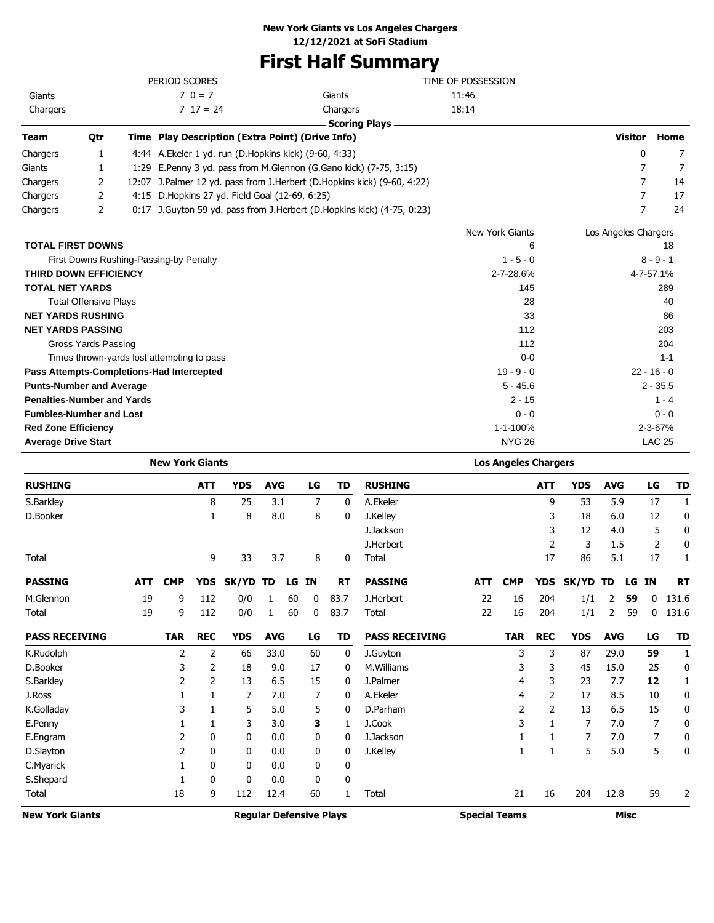## **First Half Summary**

|                            |                                                                                                                                                                                                                                                                                   |                                                                                                                                                            | TIME OF POSSESSION                                                                                                                                             |                                                                                                                                                                                                                      |               |
|----------------------------|-----------------------------------------------------------------------------------------------------------------------------------------------------------------------------------------------------------------------------------------------------------------------------------|------------------------------------------------------------------------------------------------------------------------------------------------------------|----------------------------------------------------------------------------------------------------------------------------------------------------------------|----------------------------------------------------------------------------------------------------------------------------------------------------------------------------------------------------------------------|---------------|
|                            | $70 = 7$                                                                                                                                                                                                                                                                          | Giants                                                                                                                                                     | 11:46                                                                                                                                                          |                                                                                                                                                                                                                      |               |
|                            | $717 = 24$                                                                                                                                                                                                                                                                        | Chargers                                                                                                                                                   | 18:14                                                                                                                                                          |                                                                                                                                                                                                                      |               |
|                            |                                                                                                                                                                                                                                                                                   | <b>Scoring Plays</b>                                                                                                                                       |                                                                                                                                                                |                                                                                                                                                                                                                      |               |
| Qtr                        |                                                                                                                                                                                                                                                                                   |                                                                                                                                                            |                                                                                                                                                                | Visitor                                                                                                                                                                                                              | Home          |
| 1                          |                                                                                                                                                                                                                                                                                   |                                                                                                                                                            |                                                                                                                                                                | 0                                                                                                                                                                                                                    | 7             |
|                            |                                                                                                                                                                                                                                                                                   |                                                                                                                                                            |                                                                                                                                                                |                                                                                                                                                                                                                      | 7             |
| 2                          |                                                                                                                                                                                                                                                                                   |                                                                                                                                                            |                                                                                                                                                                | 7                                                                                                                                                                                                                    | 14            |
| 2                          |                                                                                                                                                                                                                                                                                   |                                                                                                                                                            |                                                                                                                                                                | 7                                                                                                                                                                                                                    | 17            |
| 2                          |                                                                                                                                                                                                                                                                                   |                                                                                                                                                            |                                                                                                                                                                | 7                                                                                                                                                                                                                    | 24            |
|                            |                                                                                                                                                                                                                                                                                   |                                                                                                                                                            | New York Giants                                                                                                                                                | Los Angeles Chargers                                                                                                                                                                                                 |               |
|                            |                                                                                                                                                                                                                                                                                   |                                                                                                                                                            | 6                                                                                                                                                              |                                                                                                                                                                                                                      | 18            |
|                            |                                                                                                                                                                                                                                                                                   |                                                                                                                                                            | $1 - 5 - 0$                                                                                                                                                    |                                                                                                                                                                                                                      | $8 - 9 - 1$   |
|                            |                                                                                                                                                                                                                                                                                   |                                                                                                                                                            | 2-7-28.6%                                                                                                                                                      |                                                                                                                                                                                                                      | 4-7-57.1%     |
| <b>TOTAL NET YARDS</b>     |                                                                                                                                                                                                                                                                                   |                                                                                                                                                            | 145                                                                                                                                                            |                                                                                                                                                                                                                      | 289           |
|                            |                                                                                                                                                                                                                                                                                   |                                                                                                                                                            | 28                                                                                                                                                             |                                                                                                                                                                                                                      | 40            |
|                            |                                                                                                                                                                                                                                                                                   |                                                                                                                                                            | 33                                                                                                                                                             |                                                                                                                                                                                                                      | 86            |
|                            |                                                                                                                                                                                                                                                                                   |                                                                                                                                                            | 112                                                                                                                                                            |                                                                                                                                                                                                                      | 203           |
|                            |                                                                                                                                                                                                                                                                                   |                                                                                                                                                            | 112                                                                                                                                                            |                                                                                                                                                                                                                      | 204           |
|                            |                                                                                                                                                                                                                                                                                   |                                                                                                                                                            | $0 - 0$                                                                                                                                                        |                                                                                                                                                                                                                      | $1 - 1$       |
|                            |                                                                                                                                                                                                                                                                                   |                                                                                                                                                            | $19 - 9 - 0$                                                                                                                                                   |                                                                                                                                                                                                                      | $22 - 16 - 0$ |
|                            |                                                                                                                                                                                                                                                                                   |                                                                                                                                                            | $5 - 45.6$                                                                                                                                                     |                                                                                                                                                                                                                      | $2 - 35.5$    |
|                            |                                                                                                                                                                                                                                                                                   |                                                                                                                                                            | $2 - 15$                                                                                                                                                       |                                                                                                                                                                                                                      | $1 - 4$       |
|                            |                                                                                                                                                                                                                                                                                   |                                                                                                                                                            | $0 - 0$                                                                                                                                                        |                                                                                                                                                                                                                      | $0 - 0$       |
| <b>Red Zone Efficiency</b> |                                                                                                                                                                                                                                                                                   |                                                                                                                                                            | 1-1-100%                                                                                                                                                       |                                                                                                                                                                                                                      | $2 - 3 - 67%$ |
| <b>Average Drive Start</b> |                                                                                                                                                                                                                                                                                   |                                                                                                                                                            | <b>NYG 26</b>                                                                                                                                                  |                                                                                                                                                                                                                      | <b>LAC 25</b> |
|                            | <b>TOTAL FIRST DOWNS</b><br><b>THIRD DOWN EFFICIENCY</b><br><b>Total Offensive Plays</b><br><b>NET YARDS RUSHING</b><br><b>NET YARDS PASSING</b><br>Gross Yards Passing<br><b>Punts-Number and Average</b><br><b>Penalties-Number and Yards</b><br><b>Fumbles-Number and Lost</b> | PERIOD SCORES<br>0:17<br>First Downs Rushing-Passing-by Penalty<br>Times thrown-yards lost attempting to pass<br>Pass Attempts-Completions-Had Intercepted | Time Play Description (Extra Point) (Drive Info)<br>4:44 A. Ekeler 1 yd. run (D. Hopkins kick) (9-60, 4:33)<br>4:15 D. Hopkins 27 yd. Field Goal (12-69, 6:25) | 1:29 E.Penny 3 yd. pass from M.Glennon (G.Gano kick) (7-75, 3:15)<br>12:07 J.Palmer 12 yd. pass from J.Herbert (D.Hopkins kick) (9-60, 4:22)<br>J. Guyton 59 yd. pass from J. Herbert (D. Hopkins kick) (4-75, 0:23) |               |

|                        |            | <b>New York Giants</b> |            |                                |            |    |    |              |                       |                      | <b>Los Angeles Chargers</b> |                |            |            |             |    |              |
|------------------------|------------|------------------------|------------|--------------------------------|------------|----|----|--------------|-----------------------|----------------------|-----------------------------|----------------|------------|------------|-------------|----|--------------|
| <b>RUSHING</b>         |            |                        | <b>ATT</b> | <b>YDS</b>                     | <b>AVG</b> |    | LG | <b>TD</b>    | <b>RUSHING</b>        |                      |                             | <b>ATT</b>     | <b>YDS</b> | <b>AVG</b> |             | LG | <b>TD</b>    |
| S.Barkley              |            |                        | 8          | 25                             | 3.1        |    | 7  | $\mathbf{0}$ | A.Ekeler              |                      |                             | 9              | 53         | 5.9        |             | 17 | 1            |
| D.Booker               |            |                        | 1          | 8                              | 8.0        |    | 8  | 0            | J.Kelley              |                      |                             | 3              | 18         | 6.0        |             | 12 | 0            |
|                        |            |                        |            |                                |            |    |    |              | J.Jackson             |                      |                             | 3              | 12         | 4.0        |             | 5  | 0            |
|                        |            |                        |            |                                |            |    |    |              | J.Herbert             |                      |                             | $\overline{2}$ | 3          | 1.5        |             | 2  | 0            |
| Total                  |            |                        | 9          | 33                             | 3.7        |    | 8  | 0            | Total                 |                      |                             | 17             | 86         | 5.1        |             | 17 | 1            |
| <b>PASSING</b>         | <b>ATT</b> | <b>CMP</b>             | <b>YDS</b> | SK/YD                          | TD         | LG | ΙN | <b>RT</b>    | <b>PASSING</b>        | <b>ATT</b>           | <b>CMP</b>                  | <b>YDS</b>     | SK/YD      | TD         | LG          | ΙN | <b>RT</b>    |
| M.Glennon              | 19         | 9                      | 112        | 0/0                            | 1          | 60 | 0  | 83.7         | J.Herbert             | 22                   | 16                          | 204            | 1/1        | 2          | 59          | 0  | 131.6        |
| Total                  | 19         | 9                      | 112        | 0/0                            | 1          | 60 | 0  | 83.7         | Total                 | 22                   | 16                          | 204            | 1/1        | 2          | 59          | 0  | 131.6        |
| <b>PASS RECEIVING</b>  |            | <b>TAR</b>             | <b>REC</b> | <b>YDS</b>                     | <b>AVG</b> |    | LG | TD           | <b>PASS RECEIVING</b> |                      | <b>TAR</b>                  | <b>REC</b>     | <b>YDS</b> | <b>AVG</b> |             | LG | <b>TD</b>    |
| K.Rudolph              |            | 2                      | 2          | 66                             | 33.0       |    | 60 | 0            | J.Guyton              |                      | 3                           | 3              | 87         | 29.0       |             | 59 | $\mathbf{1}$ |
| D.Booker               |            | 3                      | 2          | 18                             | 9.0        |    | 17 | 0            | M.Williams            |                      | 3                           | 3              | 45         | 15.0       |             | 25 | 0            |
| S.Barkley              |            | 2                      | 2          | 13                             | 6.5        |    | 15 | 0            | J.Palmer              |                      | 4                           | 3              | 23         | 7.7        |             | 12 | $\mathbf{1}$ |
| J.Ross                 |            |                        |            | 7                              | 7.0        |    | 7  | 0            | A.Ekeler              |                      | 4                           | $\overline{2}$ | 17         | 8.5        |             | 10 | 0            |
| K.Golladay             |            | 3                      |            | 5                              | 5.0        |    | 5  | 0            | D.Parham              |                      | 2                           | $\overline{2}$ | 13         | 6.5        |             | 15 | 0            |
| E.Penny                |            |                        |            | 3                              | 3.0        |    | 3  | 1            | J.Cook                |                      | 3                           | $\mathbf{1}$   | 7          | 7.0        |             | 7  | 0            |
| E.Engram               |            | 2                      | 0          | 0                              | 0.0        |    | 0  | 0            | J.Jackson             |                      |                             | 1              | 7          | 7.0        |             | 7  | 0            |
| D.Slayton              |            | 2                      | 0          | 0                              | 0.0        |    | 0  | 0            | J.Kelley              |                      | 1                           | 1              | 5          | 5.0        |             | 5  | 0            |
| C.Myarick              |            |                        | 0          | 0                              | 0.0        |    | 0  | 0            |                       |                      |                             |                |            |            |             |    |              |
| S.Shepard              |            |                        | 0          | 0                              | 0.0        |    | 0  | 0            |                       |                      |                             |                |            |            |             |    |              |
| Total                  |            | 18                     | 9          | 112                            | 12.4       |    | 60 | 1            | Total                 |                      | 21                          | 16             | 204        | 12.8       |             | 59 | 2            |
| <b>New York Giants</b> |            |                        |            | <b>Regular Defensive Plays</b> |            |    |    |              |                       | <b>Special Teams</b> |                             |                |            |            | <b>Misc</b> |    |              |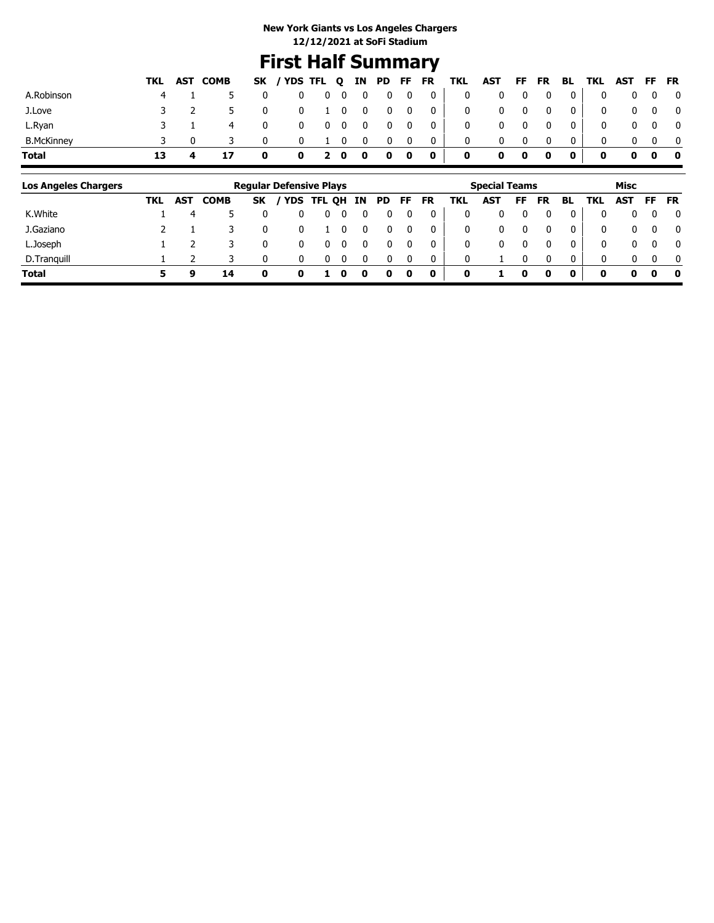## **First Half Summary**

|    | 5 |              |                |                                                        |  |                                |                |              |                                                                                                                                                                             |                                     |              |                                                              |                               |                                                                                                                                                                                 |                                                                |                                                                                                                                                                                                                                                                                                  |
|----|---|--------------|----------------|--------------------------------------------------------|--|--------------------------------|----------------|--------------|-----------------------------------------------------------------------------------------------------------------------------------------------------------------------------|-------------------------------------|--------------|--------------------------------------------------------------|-------------------------------|---------------------------------------------------------------------------------------------------------------------------------------------------------------------------------|----------------------------------------------------------------|--------------------------------------------------------------------------------------------------------------------------------------------------------------------------------------------------------------------------------------------------------------------------------------------------|
|    |   |              |                |                                                        |  |                                |                |              |                                                                                                                                                                             |                                     |              |                                                              |                               |                                                                                                                                                                                 |                                                                |                                                                                                                                                                                                                                                                                                  |
|    |   | $\Omega$     |                |                                                        |  |                                |                |              |                                                                                                                                                                             |                                     |              |                                                              |                               |                                                                                                                                                                                 |                                                                |                                                                                                                                                                                                                                                                                                  |
| 13 |   | $\mathbf 0$  |                |                                                        |  |                                |                |              |                                                                                                                                                                             |                                     |              |                                                              |                               |                                                                                                                                                                                 |                                                                |                                                                                                                                                                                                                                                                                                  |
|    |   | TKL AST COMB | $\overline{4}$ | $\mathbf{0}$<br>$\mathbf 0$<br>$\overline{\mathbf{0}}$ |  | $0 \qquad 1 \qquad 0 \qquad 0$ | $\overline{0}$ | $\mathbf{0}$ | $\begin{array}{ccccccccccccccccc} 0 & 0 & 0 & 0 & 0 & 0 & 0 & 0 \end{array}$<br>$\cdot$ 0 1<br>$\begin{array}{ccccccccccccccccc} 0 & 2 & 0 & 0 & 0 & 0 & 0 & 0 \end{array}$ | $\sim$ 0<br>$\overline{\mathbf{0}}$ | $\mathbf{0}$ | $\overline{\mathbf{0}}$<br>$\begin{matrix}0&0&0\end{matrix}$ | $\overline{0}$<br>$\bullet$ 0 | $\overline{\phantom{0}}$ 0 $\overline{\phantom{0}}$<br>0 1 0 0 0 0 0   0 0 0 0 0  <br>$\begin{array}{ccccccccc}\n0 & 0 & 0 & 0 & 0\n\end{array}$<br>0 <sup>1</sup><br>$\bullet$ | $\overline{\mathbf{0}}$<br>$\overline{\mathbf{0}}$<br>$\Omega$ | SK / YDS TFL Q IN PD FF FR TKL AST FF FR BL TKL AST FF FR<br>$\begin{matrix} 0 & 0 & 0 & 0 \end{matrix}$<br>$\begin{array}{ccc} & & 0 & 0 & 0 \end{array}$<br>$0\quad 0\quad 0$<br>$0\quad 0\quad 0$<br>$\begin{array}{ccc} & & & \mathbf{0} & \mathbf{0} & \mathbf{0} & \mathbf{0} \end{array}$ |

| <b>Los Angeles Chargers</b> |     |            |             |    | <b>Regular Defensive Plays</b> |      |    |    |     |    |    |     | <b>Special Teams</b> |    |    |          |          | Misc     |          |              |
|-----------------------------|-----|------------|-------------|----|--------------------------------|------|----|----|-----|----|----|-----|----------------------|----|----|----------|----------|----------|----------|--------------|
|                             | TKL | <b>AST</b> | <b>COMB</b> | SK | <b>YDS</b>                     | TFL. | QH | ΙN | PD. | FF | FR | TKL | AST                  | FF | FR | BL       | TKL      | AST      | FF       | FR           |
| K.White                     |     | 4          |             |    |                                |      |    |    |     |    |    | 0   |                      |    |    |          | 0        | 0        | 0        | 0            |
| J.Gaziano                   |     |            |             |    |                                |      |    |    |     |    |    | 0   | 0                    |    |    |          | 0        | 0        | $\Omega$ | $\mathbf{0}$ |
| L.Joseph                    |     |            |             |    |                                |      |    |    |     |    |    | 0   | 0                    |    |    |          | 0        | 0        |          | $\mathbf{0}$ |
| D.Tranguill                 |     |            |             | n  | $\Omega$                       |      |    |    |     | n  |    | 0   |                      |    |    | $\Omega$ | $\Omega$ | $\Omega$ | $\Omega$ | $\mathbf{0}$ |
| Total                       |     | a          | 14          |    |                                |      | o  |    | o   | 0  | 0  | 0   |                      |    | 0  | 0        | 0        | 0        | 0        | 0            |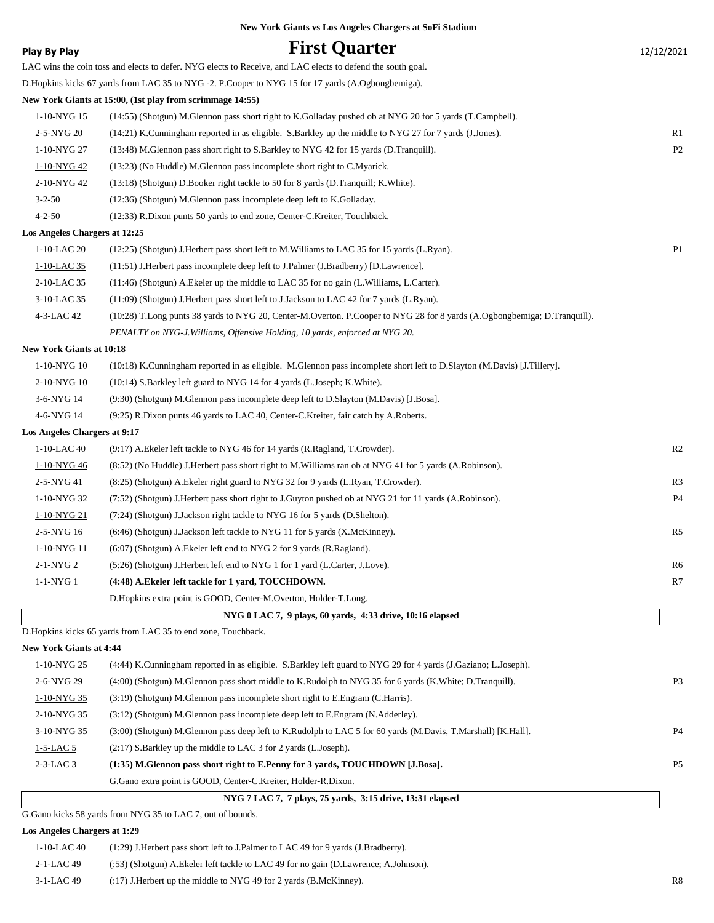|                                 | New York Giants vs Los Angeles Chargers at SoFi Stadium                                                                  |                |
|---------------------------------|--------------------------------------------------------------------------------------------------------------------------|----------------|
| <b>Play By Play</b>             | <b>First Quarter</b>                                                                                                     | 12/12/2021     |
|                                 | LAC wins the coin toss and elects to defer. NYG elects to Receive, and LAC elects to defend the south goal.              |                |
|                                 | D. Hopkins kicks 67 yards from LAC 35 to NYG -2. P. Cooper to NYG 15 for 17 yards (A. Ogbongbemiga).                     |                |
|                                 | New York Giants at 15:00, (1st play from scrimmage 14:55)                                                                |                |
| 1-10-NYG 15                     | (14:55) (Shotgun) M.Glennon pass short right to K.Golladay pushed ob at NYG 20 for 5 yards (T.Campbell).                 |                |
| 2-5-NYG 20                      | (14:21) K.Cunningham reported in as eligible. S.Barkley up the middle to NYG 27 for 7 yards (J.Jones).                   | R1             |
| 1-10-NYG 27                     | (13:48) M.Glennon pass short right to S.Barkley to NYG 42 for 15 yards (D.Tranquill).                                    | P <sub>2</sub> |
| 1-10-NYG42                      | (13:23) (No Huddle) M.Glennon pass incomplete short right to C.Myarick.                                                  |                |
| 2-10-NYG 42                     | (13:18) (Shotgun) D.Booker right tackle to 50 for 8 yards (D.Tranquill; K.White).                                        |                |
| $3 - 2 - 50$                    | (12:36) (Shotgun) M.Glennon pass incomplete deep left to K.Golladay.                                                     |                |
| $4 - 2 - 50$                    | (12:33) R.Dixon punts 50 yards to end zone, Center-C.Kreiter, Touchback.                                                 |                |
| Los Angeles Chargers at 12:25   |                                                                                                                          |                |
| 1-10-LAC 20                     | (12:25) (Shotgun) J.Herbert pass short left to M.Williams to LAC 35 for 15 yards (L.Ryan).                               | P1             |
| 1-10-LAC 35                     | (11:51) J.Herbert pass incomplete deep left to J.Palmer (J.Bradberry) [D.Lawrence].                                      |                |
| 2-10-LAC 35                     | $(11:46)$ (Shotgun) A. Ekeler up the middle to LAC 35 for no gain (L. Williams, L. Carter).                              |                |
| 3-10-LAC 35                     | (11:09) (Shotgun) J.Herbert pass short left to J.Jackson to LAC 42 for 7 yards (L.Ryan).                                 |                |
| 4-3-LAC 42                      | (10:28) T.Long punts 38 yards to NYG 20, Center-M.Overton. P.Cooper to NYG 28 for 8 yards (A.Ogbongbemiga; D.Tranquill). |                |
|                                 | PENALTY on NYG-J. Williams, Offensive Holding, 10 yards, enforced at NYG 20.                                             |                |
| <b>New York Giants at 10:18</b> |                                                                                                                          |                |
| 1-10-NYG 10                     | (10:18) K.Cunningham reported in as eligible. M.Glennon pass incomplete short left to D.Slayton (M.Davis) [J.Tillery].   |                |
| 2-10-NYG 10                     | (10:14) S.Barkley left guard to NYG 14 for 4 yards (L.Joseph; K.White).                                                  |                |
| 3-6-NYG 14                      | (9:30) (Shotgun) M.Glennon pass incomplete deep left to D.Slayton (M.Davis) [J.Bosa].                                    |                |
| 4-6-NYG 14                      | (9:25) R.Dixon punts 46 yards to LAC 40, Center-C.Kreiter, fair catch by A.Roberts.                                      |                |
| Los Angeles Chargers at 9:17    |                                                                                                                          |                |
| 1-10-LAC 40                     | (9:17) A. Ekeler left tackle to NYG 46 for 14 yards (R. Ragland, T. Crowder).                                            | R2             |
| 1-10-NYG46                      | (8.52) (No Huddle) J. Herbert pass short right to M. Williams ran ob at NYG 41 for 5 yards (A. Robinson).                |                |
| 2-5-NYG 41                      | (8:25) (Shotgun) A. Ekeler right guard to NYG 32 for 9 yards (L. Ryan, T. Crowder).                                      | R <sub>3</sub> |
| 1-10-NYG 32                     | (7:52) (Shotgun) J.Herbert pass short right to J.Guyton pushed ob at NYG 21 for 11 yards (A.Robinson).                   | <b>P4</b>      |
| 1-10-NYG 21                     | (7:24) (Shotgun) J.Jackson right tackle to NYG 16 for 5 yards (D.Shelton).                                               |                |
| 2-5-NYG 16                      | (6:46) (Shotgun) J.Jackson left tackle to NYG 11 for 5 yards (X.McKinney).                                               | R <sub>5</sub> |
| <u>1-10-NYG 11</u>              | (6:07) (Shotgun) A.Ekeler left end to NYG 2 for 9 yards (R.Ragland).                                                     |                |
| 2-1-NYG 2                       | (5:26) (Shotgun) J.Herbert left end to NYG 1 for 1 yard (L.Carter, J.Love).                                              | R6             |
| $1-1-NYG1$                      | (4:48) A.Ekeler left tackle for 1 yard, TOUCHDOWN.                                                                       | R7             |
|                                 | D.Hopkins extra point is GOOD, Center-M.Overton, Holder-T.Long.                                                          |                |
|                                 | NYG 0 LAC 7, 9 plays, 60 yards, 4:33 drive, 10:16 elapsed                                                                |                |
|                                 | D.Hopkins kicks 65 yards from LAC 35 to end zone, Touchback.                                                             |                |
| <b>New York Giants at 4:44</b>  |                                                                                                                          |                |
| 1-10-NYG 25                     | (4:44) K.Cunningham reported in as eligible. S.Barkley left guard to NYG 29 for 4 yards (J.Gaziano; L.Joseph).           |                |

| 1-10-N Y G 25 | (4:44) K.Cunningham reported in as eligible. S.Barkley left guard to N Y G 29 for 4 yards (J.Gaziano; L.Joseph). |                |
|---------------|------------------------------------------------------------------------------------------------------------------|----------------|
| 2-6-NYG 29    | (4:00) (Shotgun) M.Glennon pass short middle to K.Rudolph to NYG 35 for 6 yards (K.White; D.Tranquill).          | P <sub>3</sub> |
| 1-10-NYG 35   | $(3:19)$ (Shotgun) M.Glennon pass incomplete short right to E.Engram (C.Harris).                                 |                |
| 2-10-NYG 35   | (3:12) (Shotgun) M.Glennon pass incomplete deep left to E.Engram (N.Adderley).                                   |                |
| 3-10-NYG 35   | (3:00) (Shotgun) M.Glennon pass deep left to K.Rudolph to LAC 5 for 60 yards (M.Davis, T.Marshall) [K.Hall].     | P <sub>4</sub> |
| $1-5-LAC5$    | (2:17) S.Barkley up the middle to LAC 3 for 2 yards (L.Joseph).                                                  |                |
| $2-3-LAC3$    | (1:35) M. Glennon pass short right to E. Penny for 3 yards, TOUCHDOWN [J. Bosa].                                 | <b>P5</b>      |
|               | G. Gano extra point is GOOD, Center-C. Kreiter, Holder-R. Dixon.                                                 |                |

 **NYG 7 LAC 7, 7 plays, 75 yards, 3:15 drive, 13:31 elapsed**

G.Gano kicks 58 yards from NYG 35 to LAC 7, out of bounds.

### **Los Angeles Chargers at 1:29**

| 1-10-LAC 40     | $(1:29)$ J. Herbert pass short left to J. Palmer to LAC 49 for 9 yards (J. Bradberry). |                |
|-----------------|----------------------------------------------------------------------------------------|----------------|
| $2 - 1 - LAC49$ | (:53) (Shotgun) A. Ekeler left tackle to LAC 49 for no gain (D. Lawrence; A. Johnson). |                |
| $3-1-LAC$ 49    | $(17)$ J. Herbert up the middle to NYG 49 for 2 yards (B. McKinney).                   | R <sup>8</sup> |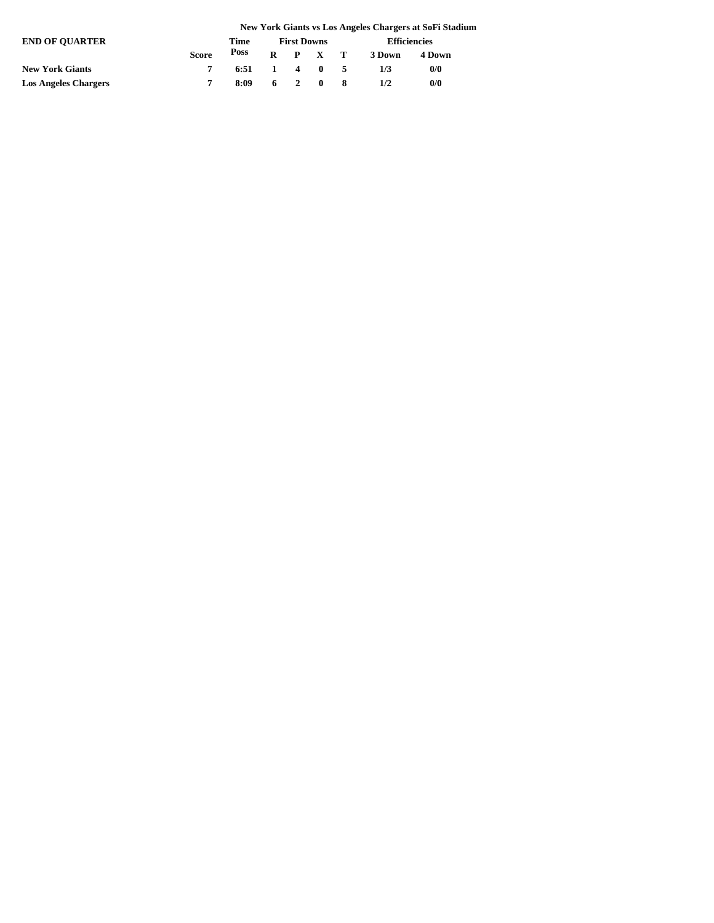|                             | New York Giants vs Los Angeles Chargers at SoFi Stadium |      |                    |  |         |  |                        |        |  |
|-----------------------------|---------------------------------------------------------|------|--------------------|--|---------|--|------------------------|--------|--|
| <b>END OF OUARTER</b>       |                                                         | Time | <b>First Downs</b> |  |         |  | <b>Efficiencies</b>    |        |  |
|                             | <b>Score</b>                                            | Poss |                    |  |         |  | $R$ $P$ $X$ $T$ 3 Down | 4 Down |  |
| <b>New York Giants</b>      |                                                         | 6:51 |                    |  | 1 4 0 5 |  | 1/3                    | 0/0    |  |
| <b>Los Angeles Chargers</b> |                                                         | 8:09 |                    |  | 6 2 0 8 |  | 1/2                    | 0/0    |  |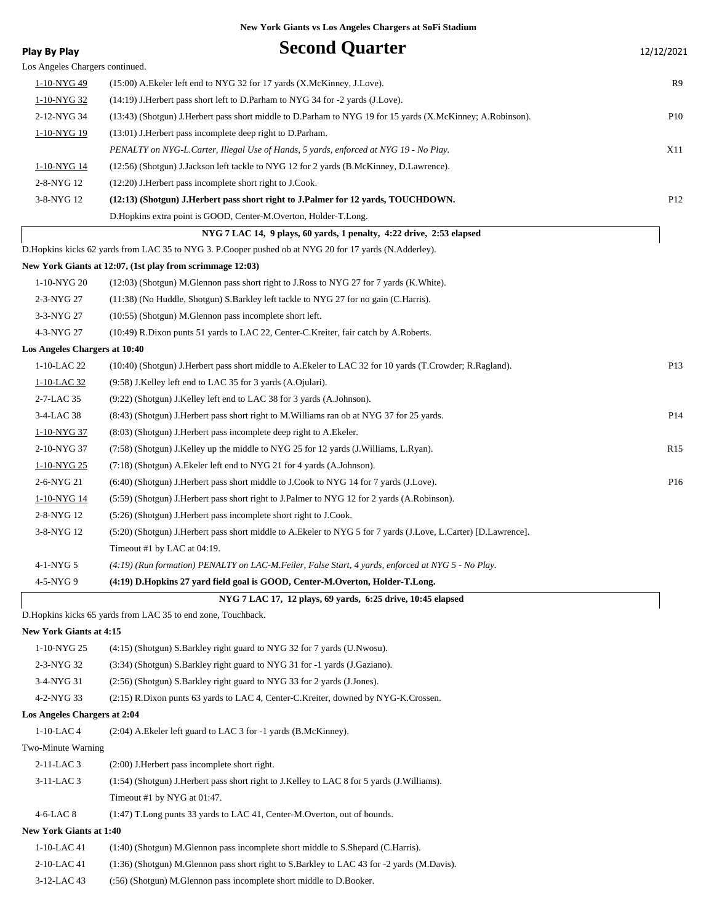| Play By Play                    | <b>Second Quarter</b>                                                                                          | 12/12/2021      |
|---------------------------------|----------------------------------------------------------------------------------------------------------------|-----------------|
| Los Angeles Chargers continued. |                                                                                                                |                 |
| 1-10-NYG 49                     | (15:00) A. Ekeler left end to NYG 32 for 17 yards (X. McKinney, J. Love).                                      | R9              |
| 1-10-NYG 32                     | (14:19) J. Herbert pass short left to D. Parham to NYG 34 for -2 yards (J. Love).                              |                 |
| 2-12-NYG 34                     | (13:43) (Shotgun) J.Herbert pass short middle to D.Parham to NYG 19 for 15 yards (X.McKinney; A.Robinson).     | P <sub>10</sub> |
| 1-10-NYG 19                     | (13:01) J. Herbert pass incomplete deep right to D. Parham.                                                    |                 |
|                                 | PENALTY on NYG-L.Carter, Illegal Use of Hands, 5 yards, enforced at NYG 19 - No Play.                          | X11             |
| 1-10-NYG 14                     | (12:56) (Shotgun) J.Jackson left tackle to NYG 12 for 2 yards (B.McKinney, D.Lawrence).                        |                 |
| 2-8-NYG 12                      | (12:20) J. Herbert pass incomplete short right to J. Cook.                                                     |                 |
| 3-8-NYG 12                      | (12:13) (Shotgun) J.Herbert pass short right to J.Palmer for 12 yards, TOUCHDOWN.                              | P12             |
|                                 | D. Hopkins extra point is GOOD, Center-M. Overton, Holder-T. Long.                                             |                 |
|                                 | NYG 7 LAC 14, 9 plays, 60 yards, 1 penalty, 4:22 drive, 2:53 elapsed                                           |                 |
|                                 | D. Hopkins kicks 62 yards from LAC 35 to NYG 3. P. Cooper pushed ob at NYG 20 for 17 yards (N. Adderley).      |                 |
|                                 | New York Giants at 12:07, (1st play from scrimmage 12:03)                                                      |                 |
| 1-10-NYG 20                     | (12:03) (Shotgun) M.Glennon pass short right to J.Ross to NYG 27 for 7 yards (K.White).                        |                 |
| 2-3-NYG 27                      | (11:38) (No Huddle, Shotgun) S.Barkley left tackle to NYG 27 for no gain (C.Harris).                           |                 |
| 3-3-NYG 27                      | $(10:55)$ (Shotgun) M. Glennon pass incomplete short left.                                                     |                 |
| 4-3-NYG 27                      | (10:49) R.Dixon punts 51 yards to LAC 22, Center-C.Kreiter, fair catch by A.Roberts.                           |                 |
| Los Angeles Chargers at 10:40   |                                                                                                                |                 |
| 1-10-LAC 22                     | (10:40) (Shotgun) J.Herbert pass short middle to A.Ekeler to LAC 32 for 10 yards (T.Crowder; R.Ragland).       | P13             |
| 1-10-LAC 32                     | (9:58) J.Kelley left end to LAC 35 for 3 yards (A.Ojulari).                                                    |                 |
| 2-7-LAC 35                      | (9:22) (Shotgun) J.Kelley left end to LAC 38 for 3 yards (A.Johnson).                                          |                 |
| 3-4-LAC 38                      | (8.43) (Shotgun) J. Herbert pass short right to M. Williams ran ob at NYG 37 for 25 yards.                     | P14             |
| 1-10-NYG 37                     | (8:03) (Shotgun) J. Herbert pass incomplete deep right to A. Ekeler.                                           |                 |
| 2-10-NYG 37                     | (7:58) (Shotgun) J.Kelley up the middle to NYG 25 for 12 yards (J.Williams, L.Ryan).                           | R <sub>15</sub> |
| 1-10-NYG 25                     | (7:18) (Shotgun) A. Ekeler left end to NYG 21 for 4 yards (A. Johnson).                                        |                 |
| 2-6-NYG 21                      | (6:40) (Shotgun) J. Herbert pass short middle to J. Cook to NYG 14 for 7 yards (J. Love).                      | P16             |
| 1-10-NYG 14                     | (5:59) (Shotgun) J.Herbert pass short right to J.Palmer to NYG 12 for 2 yards (A.Robinson).                    |                 |
| 2-8-NYG 12                      | (5:26) (Shotgun) J.Herbert pass incomplete short right to J.Cook.                                              |                 |
| 3-8-NYG 12                      | (5:20) (Shotgun) J.Herbert pass short middle to A.Ekeler to NYG 5 for 7 yards (J.Love, L.Carter) [D.Lawrence]. |                 |
|                                 | Timeout #1 by LAC at 04:19.                                                                                    |                 |
| 4-1-NYG 5                       | (4:19) (Run formation) PENALTY on LAC-M.Feiler, False Start, 4 yards, enforced at NYG 5 - No Play.             |                 |
| 4-5-NYG 9                       | (4:19) D.Hopkins 27 yard field goal is GOOD, Center-M.Overton, Holder-T.Long.                                  |                 |
|                                 | NYG 7 LAC 17, 12 plays, 69 yards, 6:25 drive, 10:45 elapsed                                                    |                 |
|                                 | D.Hopkins kicks 65 yards from LAC 35 to end zone, Touchback.                                                   |                 |
| <b>New York Giants at 4:15</b>  |                                                                                                                |                 |
| 1-10-NYG 25                     | (4:15) (Shotgun) S.Barkley right guard to NYG 32 for 7 yards (U.Nwosu).                                        |                 |
| 2-3-NYG 32                      | (3:34) (Shotgun) S.Barkley right guard to NYG 31 for -1 yards (J.Gaziano).                                     |                 |
| 3-4-NYG 31                      | (2:56) (Shotgun) S.Barkley right guard to NYG 33 for 2 yards (J.Jones).                                        |                 |
| 4-2-NYG 33                      | (2:15) R.Dixon punts 63 yards to LAC 4, Center-C.Kreiter, downed by NYG-K.Crossen.                             |                 |
| Los Angeles Chargers at 2:04    |                                                                                                                |                 |
| $1-10-LAC4$                     | (2:04) A. Ekeler left guard to LAC 3 for -1 yards (B. McKinney).                                               |                 |
| Two-Minute Warning              |                                                                                                                |                 |
| 2-11-LAC 3                      | (2:00) J.Herbert pass incomplete short right.                                                                  |                 |
| 3-11-LAC 3                      | (1:54) (Shotgun) J. Herbert pass short right to J. Kelley to LAC 8 for 5 yards (J. Williams).                  |                 |
|                                 | Timeout #1 by NYG at 01:47.                                                                                    |                 |
| $4-6$ -LAC $8$                  | (1:47) T.Long punts 33 yards to LAC 41, Center-M.Overton, out of bounds.                                       |                 |
| <b>New York Giants at 1:40</b>  |                                                                                                                |                 |
| 1-10-LAC 41                     | (1:40) (Shotgun) M.Glennon pass incomplete short middle to S.Shepard (C.Harris).                               |                 |
| 2-10-LAC 41                     | (1:36) (Shotgun) M.Glennon pass short right to S.Barkley to LAC 43 for -2 yards (M.Davis).                     |                 |
| 3-12-LAC 43                     | (:56) (Shotgun) M.Glennon pass incomplete short middle to D.Booker.                                            |                 |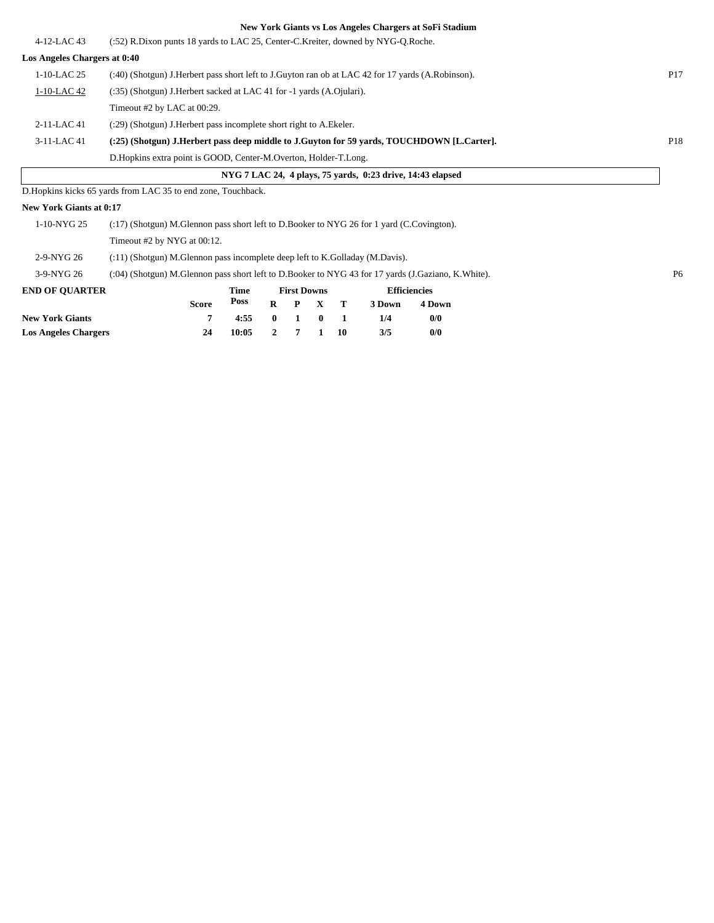|                              |                                                                                                    |                    | New York Giants vs Los Angeles Chargers at Soft Stadium    |                 |
|------------------------------|----------------------------------------------------------------------------------------------------|--------------------|------------------------------------------------------------|-----------------|
| $4-12$ -LAC 43               | (:52) R.Dixon punts 18 yards to LAC 25, Center-C.Kreiter, downed by NYG-O.Roche.                   |                    |                                                            |                 |
| Los Angeles Chargers at 0:40 |                                                                                                    |                    |                                                            |                 |
| $1-10-LAC$ 25                | (:40) (Shotgun) J.Herbert pass short left to J.Guyton ran ob at LAC 42 for 17 yards (A.Robinson).  |                    |                                                            | P <sub>17</sub> |
| 1-10-LAC 42                  | (:35) (Shotgun) J.Herbert sacked at LAC 41 for -1 yards (A.Ojulari).                               |                    |                                                            |                 |
|                              | Timeout #2 by LAC at 00:29.                                                                        |                    |                                                            |                 |
| 2-11-LAC 41                  | (:29) (Shotgun) J. Herbert pass incomplete short right to A. Ekeler.                               |                    |                                                            |                 |
| 3-11-LAC 41                  | (:25) (Shotgun) J.Herbert pass deep middle to J.Guyton for 59 yards, TOUCHDOWN [L.Carter].         |                    |                                                            | P18             |
|                              | D. Hopkins extra point is GOOD, Center-M. Overton, Holder-T. Long.                                 |                    |                                                            |                 |
|                              |                                                                                                    |                    | NYG 7 LAC 24, 4 plays, 75 yards, 0:23 drive, 14:43 elapsed |                 |
|                              | D. Hopkins kicks 65 yards from LAC 35 to end zone, Touchback.                                      |                    |                                                            |                 |
| New York Giants at 0:17      |                                                                                                    |                    |                                                            |                 |
| 1-10-NYG 25                  | (:17) (Shotgun) M.Glennon pass short left to D.Booker to NYG 26 for 1 yard (C.Covington).          |                    |                                                            |                 |
|                              | Timeout #2 by NYG at 00:12.                                                                        |                    |                                                            |                 |
| 2-9-NYG 26                   | (:11) (Shotgun) M.Glennon pass incomplete deep left to K.Golladay (M.Davis).                       |                    |                                                            |                 |
| 3-9-NYG 26                   | (:04) (Shotgun) M.Glennon pass short left to D.Booker to NYG 43 for 17 yards (J.Gaziano, K.White). |                    |                                                            | P <sub>6</sub>  |
| <b>END OF QUARTER</b>        | <b>Time</b>                                                                                        | <b>First Downs</b> | <b>Efficiencies</b>                                        |                 |

**3 Down 4 Down**

**New York Giants 7 4:55 0 1 0 1 1/4 0/0 Los Angeles Chargers 24 10:05 2 7 1 10 3/5 0/0**

**Poss**

**R P X T**

**Score**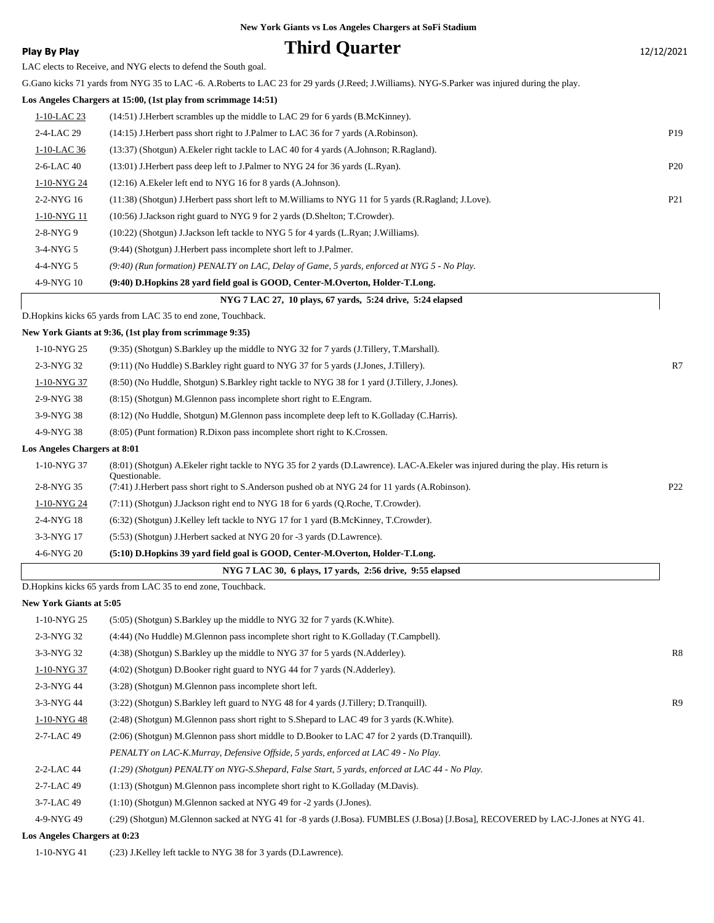### **Play By Play Play Play Play Play By Play Play By Play Play By Play Play Play Play Play Play Play Play Play Play Play Play Play Play Play Play Play Play Play Play Play**

LAC elects to Receive, and NYG elects to defend the South goal.

G.Gano kicks 71 yards from NYG 35 to LAC -6. A.Roberts to LAC 23 for 29 yards (J.Reed; J.Williams). NYG-S.Parker was injured during the play.

#### **Los Angeles Chargers at 15:00, (1st play from scrimmage 14:51)**

| NYG 7 LAC 27, 10 plays, 67 vards, 5:24 drive, 5:24 elapsed |                                                                                                          |                 |  |  |  |  |  |
|------------------------------------------------------------|----------------------------------------------------------------------------------------------------------|-----------------|--|--|--|--|--|
| 4-9-NYG 10                                                 | (9:40) D.Hopkins 28 yard field goal is GOOD, Center-M.Overton, Holder-T.Long.                            |                 |  |  |  |  |  |
| $4-4-NYG5$                                                 | $(9.40)$ (Run formation) PENALTY on LAC, Delay of Game, 5 yards, enforced at NYG 5 - No Play.            |                 |  |  |  |  |  |
| $3-4-NYG$ 5                                                | (9:44) (Shotgun) J. Herbert pass incomplete short left to J. Palmer.                                     |                 |  |  |  |  |  |
| $2-8-NYG9$                                                 | $(10:22)$ (Shotgun) J.Jackson left tackle to NYG 5 for 4 yards (L.Ryan; J.Williams).                     |                 |  |  |  |  |  |
| 1-10-NYG 11                                                | (10:56) J.Jackson right guard to NYG 9 for 2 yards (D.Shelton; T.Crowder).                               |                 |  |  |  |  |  |
| 2-2-NYG 16                                                 | (11:38) (Shotgun) J. Herbert pass short left to M. Williams to NYG 11 for 5 yards (R. Ragland; J. Love). | P <sub>21</sub> |  |  |  |  |  |
| 1-10-NYG 24                                                | $(12:16)$ A. Ekeler left end to NYG 16 for 8 yards $(A.Johnson)$ .                                       |                 |  |  |  |  |  |
| $2-6$ -LAC 40                                              | $(13:01)$ J. Herbert pass deep left to J. Palmer to NYG 24 for 36 yards (L. Ryan).                       | P <sub>20</sub> |  |  |  |  |  |
| $1-10-LAC36$                                               | (13:37) (Shotgun) A. Ekeler right tackle to LAC 40 for 4 yards (A. Johnson; R. Ragland).                 |                 |  |  |  |  |  |
| 2-4-LAC 29                                                 | (14:15) J. Herbert pass short right to J. Palmer to LAC 36 for 7 yards (A. Robinson).                    | P <sub>19</sub> |  |  |  |  |  |
| 1-10-LAC 23                                                | (14:51) J. Herbert scrambles up the middle to LAC 29 for 6 yards (B.McKinney).                           |                 |  |  |  |  |  |
|                                                            |                                                                                                          |                 |  |  |  |  |  |

D.Hopkins kicks 65 yards from LAC 35 to end zone, Touchback.

### **New York Giants at 9:36, (1st play from scrimmage 9:35)**

| 1-10-NYG 25                  | (9:35) (Shotgun) S. Barkley up the middle to NYG 32 for 7 yards (J. Tillery, T. Marshall).                                                             |                 |
|------------------------------|--------------------------------------------------------------------------------------------------------------------------------------------------------|-----------------|
| 2-3-NYG 32                   | (9.11) (No Huddle) S. Barkley right guard to NYG 37 for 5 yards (J. Jones, J. Tillery).                                                                | R7              |
| 1-10-NYG 37                  | (8:50) (No Huddle, Shotgun) S. Barkley right tackle to NYG 38 for 1 yard (J. Tillery, J. Jones).                                                       |                 |
| 2-9-NYG 38                   | (8:15) (Shotgun) M. Glennon pass incomplete short right to E. Engram.                                                                                  |                 |
| 3-9-NYG 38                   | (8.12) (No Huddle, Shotgun) M.Glennon pass incomplete deep left to K.Golladay (C.Harris).                                                              |                 |
| 4-9-NYG 38                   | $(8:05)$ (Punt formation) R.Dixon pass incomplete short right to K.Crossen.                                                                            |                 |
| Los Angeles Chargers at 8:01 |                                                                                                                                                        |                 |
| 1-10-NYG 37                  | (8:01) (Shotgun) A. Ekeler right tackle to NYG 35 for 2 yards (D. Lawrence). LAC-A. Ekeler was injured during the play. His return is<br>Ouestionable. |                 |
| 2-8-NYG 35                   | (7:41) J.Herbert pass short right to S.Anderson pushed ob at NYG 24 for 11 yards (A.Robinson).                                                         | P <sub>22</sub> |
| 1-10-NYG 24                  | (7:11) (Shotgun) J.Jackson right end to NYG 18 for 6 yards (Q.Roche, T.Crowder).                                                                       |                 |
| 2-4-NYG 18                   | $(6:32)$ (Shotgun) J.Kelley left tackle to NYG 17 for 1 yard (B.McKinney, T.Crowder).                                                                  |                 |
| 3-3-NYG 17                   | (5:53) (Shotgun) J.Herbert sacked at NYG 20 for -3 yards (D.Lawrence).                                                                                 |                 |
| 4-6-NYG 20                   | (5:10) D.Hopkins 39 yard field goal is GOOD, Center-M.Overton, Holder-T.Long.                                                                          |                 |
|                              |                                                                                                                                                        |                 |

### **NYG 7 LAC 30, 6 plays, 17 yards, 2:56 drive, 9:55 elapsed**

|  |  |  | r G / LAC 50, 0 plays, 1/ yarus, 2:50 drive, 9:55 elapsed |  |  |  |
|--|--|--|-----------------------------------------------------------|--|--|--|
|  |  |  |                                                           |  |  |  |

D.Hopkins kicks 65 yards from LAC 35 to end zone, Touchback.

#### **New York Giants at 5:05**

| 1-10-NYG 25                 | (5:05) (Shotgun) S. Barkley up the middle to NYG 32 for 7 yards (K. White).                                                      |                |
|-----------------------------|----------------------------------------------------------------------------------------------------------------------------------|----------------|
| $2-3-NYG32$                 | (4:44) (No Huddle) M.Glennon pass incomplete short right to K.Golladay (T.Campbell).                                             |                |
| $3-3-NYG$ 32                | (4:38) (Shotgun) S. Barkley up the middle to NYG 37 for 5 yards (N. Adderley).                                                   | R8             |
| 1-10-NYG 37                 | $(4:02)$ (Shotgun) D.Booker right guard to NYG 44 for 7 yards (N.Adderley).                                                      |                |
| 2-3-NYG 44                  | (3:28) (Shotgun) M.Glennon pass incomplete short left.                                                                           |                |
| 3-3-NYG 44                  | (3:22) (Shotgun) S.Barkley left guard to NYG 48 for 4 yards (J.Tillery; D.Tranquill).                                            | R <sub>9</sub> |
| 1-10-NYG 48                 | (2:48) (Shotgun) M.Glennon pass short right to S.Shepard to LAC 49 for 3 yards (K.White).                                        |                |
| 2-7-LAC 49                  | (2:06) (Shotgun) M.Glennon pass short middle to D.Booker to LAC 47 for 2 yards (D.Tranquill).                                    |                |
|                             | PENALTY on LAC-K.Murray, Defensive Offside, 5 yards, enforced at LAC 49 - No Play.                                               |                |
| 2-2-LAC 44                  | (1:29) (Shotgun) PENALTY on NYG-S.Shepard, False Start, 5 yards, enforced at LAC 44 - No Play.                                   |                |
| 2-7-LAC 49                  | $(1:13)$ (Shotgun) M. Glennon pass incomplete short right to K. Golladay (M. Davis).                                             |                |
| 3-7-LAC 49                  | $(1:10)$ (Shotgun) M.Glennon sacked at NYG 49 for -2 yards (J.Jones).                                                            |                |
| 4-9-NYG 49                  | (:29) (Shotgun) M.Glennon sacked at NYG 41 for -8 yards (J.Bosa). FUMBLES (J.Bosa) [J.Bosa], RECOVERED by LAC-J.Jones at NYG 41. |                |
| ss Angeles Chargers of 0.22 |                                                                                                                                  |                |

**Los Angeles Chargers at 0:23**

1-10-NYG 41 (:23) J.Kelley left tackle to NYG 38 for 3 yards (D.Lawrence).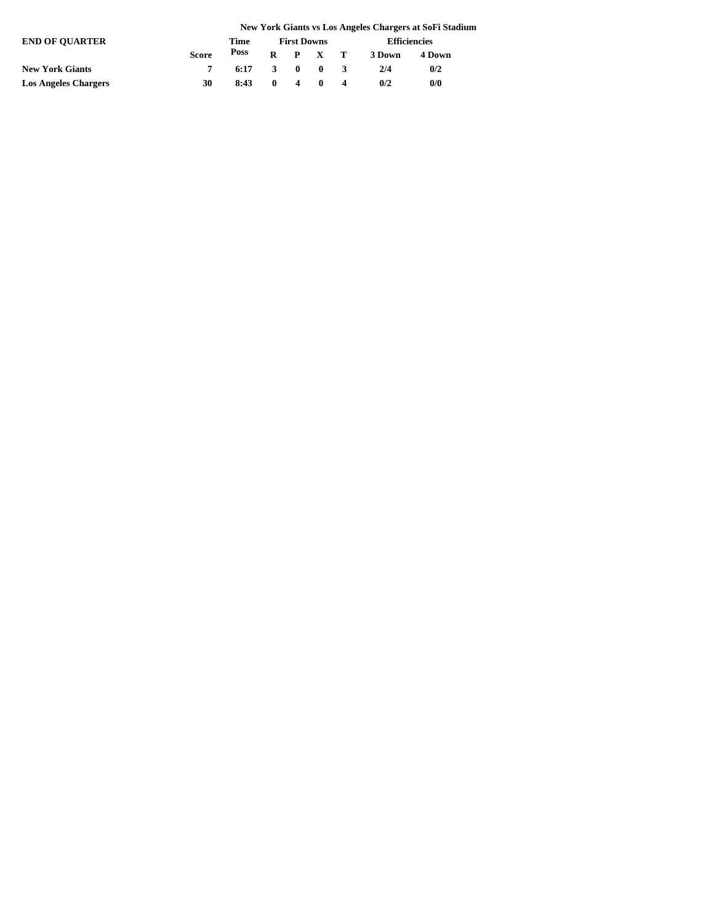|                             |              |      |                    |   |                           |        | New York Giants vs Los Angeles Chargers at SoFi Stadium |
|-----------------------------|--------------|------|--------------------|---|---------------------------|--------|---------------------------------------------------------|
| <b>END OF OUARTER</b>       |              | Time | <b>First Downs</b> |   | <b>Efficiencies</b>       |        |                                                         |
|                             | <b>Score</b> | Poss |                    |   | $R$ $P$ $X$ $T$           | 3 Down | 4 Down                                                  |
| <b>New York Giants</b>      |              | 6:17 | 3                  |   | $\mathbf{0}$ $\mathbf{0}$ | 2/4    | 0/2                                                     |
| <b>Los Angeles Chargers</b> | 30           | 8:43 | $\mathbf{0}$       | 4 | $\mathbf{0}$              | 0/2    | 0/0                                                     |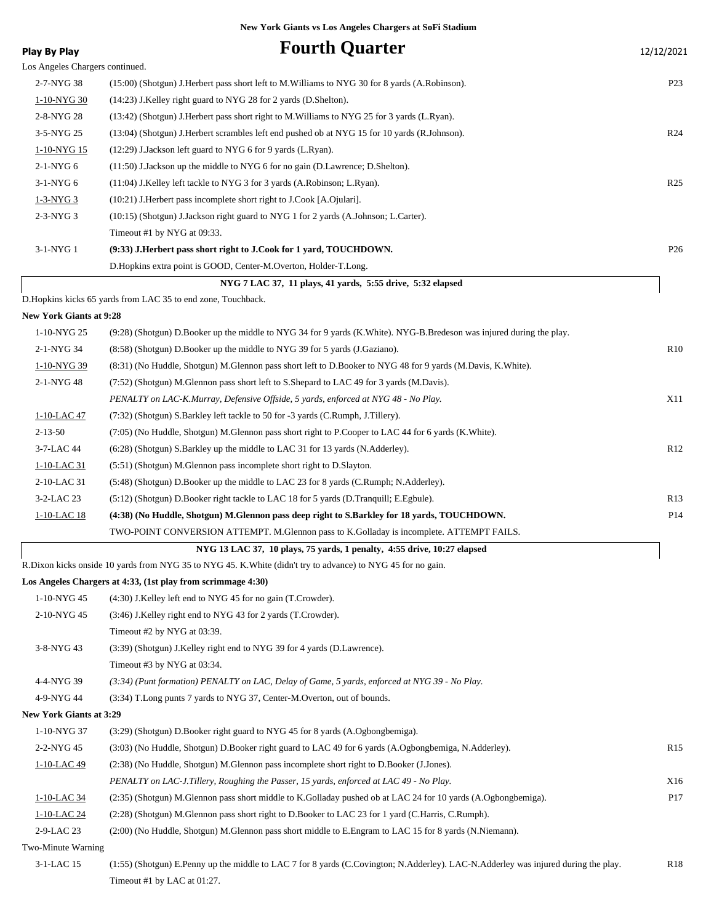| <b>Play By Play</b>             | <b>Fourth Quarter</b>                                                                                                              | 12/12/2021      |
|---------------------------------|------------------------------------------------------------------------------------------------------------------------------------|-----------------|
| Los Angeles Chargers continued. |                                                                                                                                    |                 |
| 2-7-NYG 38                      | (15:00) (Shotgun) J.Herbert pass short left to M.Williams to NYG 30 for 8 yards (A.Robinson).                                      | P <sub>23</sub> |
| 1-10-NYG 30                     | (14:23) J.Kelley right guard to NYG 28 for 2 yards (D.Shelton).                                                                    |                 |
| 2-8-NYG 28                      | (13:42) (Shotgun) J.Herbert pass short right to M.Williams to NYG 25 for 3 yards (L.Ryan).                                         |                 |
| 3-5-NYG 25                      | (13:04) (Shotgun) J.Herbert scrambles left end pushed ob at NYG 15 for 10 yards (R.Johnson).                                       | R <sub>24</sub> |
| 1-10-NYG 15                     | (12:29) J.Jackson left guard to NYG 6 for 9 yards (L.Ryan).                                                                        |                 |
| 2-1-NYG 6                       | $(11:50)$ J.Jackson up the middle to NYG 6 for no gain (D.Lawrence; D.Shelton).                                                    |                 |
| $3-1-NYG6$                      | (11:04) J.Kelley left tackle to NYG 3 for 3 yards (A.Robinson; L.Ryan).                                                            | R <sub>25</sub> |
| 1-3-NYG 3                       | $(10:21)$ J. Herbert pass incomplete short right to J. Cook [A. Ojulari].                                                          |                 |
| 2-3-NYG 3                       | (10:15) (Shotgun) J.Jackson right guard to NYG 1 for 2 yards (A.Johnson; L.Carter).                                                |                 |
|                                 | Timeout #1 by NYG at 09:33.                                                                                                        |                 |
| 3-1-NYG 1                       | (9:33) J.Herbert pass short right to J.Cook for 1 yard, TOUCHDOWN.                                                                 | P <sub>26</sub> |
|                                 | D.Hopkins extra point is GOOD, Center-M.Overton, Holder-T.Long.                                                                    |                 |
|                                 | NYG 7 LAC 37, 11 plays, 41 yards, 5:55 drive, 5:32 elapsed                                                                         |                 |
|                                 | D.Hopkins kicks 65 yards from LAC 35 to end zone, Touchback.                                                                       |                 |
| <b>New York Giants at 9:28</b>  |                                                                                                                                    |                 |
| 1-10-NYG 25                     | (9:28) (Shotgun) D.Booker up the middle to NYG 34 for 9 yards (K.White). NYG-B.Bredeson was injured during the play.               |                 |
| 2-1-NYG 34                      | (8.58) (Shotgun) D.Booker up the middle to NYG 39 for 5 yards (J.Gaziano).                                                         | R10             |
| 1-10-NYG 39                     | (8:31) (No Huddle, Shotgun) M.Glennon pass short left to D.Booker to NYG 48 for 9 yards (M.Davis, K.White).                        |                 |
| 2-1-NYG 48                      | (7:52) (Shotgun) M.Glennon pass short left to S.Shepard to LAC 49 for 3 yards (M.Davis).                                           |                 |
|                                 | PENALTY on LAC-K.Murray, Defensive Offside, 5 yards, enforced at NYG 48 - No Play.                                                 | X11             |
| 1-10-LAC 47                     | (7:32) (Shotgun) S.Barkley left tackle to 50 for -3 yards (C.Rumph, J.Tillery).                                                    |                 |
| $2 - 13 - 50$                   | (7:05) (No Huddle, Shotgun) M.Glennon pass short right to P.Cooper to LAC 44 for 6 yards (K.White).                                |                 |
| 3-7-LAC 44                      | (6:28) (Shotgun) S.Barkley up the middle to LAC 31 for 13 yards (N.Adderley).                                                      | R12             |
| 1-10-LAC 31                     | (5:51) (Shotgun) M.Glennon pass incomplete short right to D.Slayton.                                                               |                 |
| $2-10$ -LAC 31                  | (5:48) (Shotgun) D.Booker up the middle to LAC 23 for 8 yards (C.Rumph; N.Adderley).                                               |                 |
| 3-2-LAC 23                      | (5:12) (Shotgun) D.Booker right tackle to LAC 18 for 5 yards (D.Tranquill; E.Egbule).                                              | R13             |
| 1-10-LAC 18                     | (4:38) (No Huddle, Shotgun) M.Glennon pass deep right to S.Barkley for 18 yards, TOUCHDOWN.                                        | P14             |
|                                 | TWO-POINT CONVERSION ATTEMPT. M.Glennon pass to K.Golladay is incomplete. ATTEMPT FAILS.                                           |                 |
|                                 | NYG 13 LAC 37, 10 plays, 75 yards, 1 penalty, 4:55 drive, 10:27 elapsed                                                            |                 |
|                                 | R.Dixon kicks onside 10 yards from NYG 35 to NYG 45. K.White (didn't try to advance) to NYG 45 for no gain.                        |                 |
|                                 | Los Angeles Chargers at 4:33, (1st play from scrimmage 4:30)                                                                       |                 |
| 1-10-NYG 45                     | (4:30) J.Kelley left end to NYG 45 for no gain (T.Crowder).                                                                        |                 |
| 2-10-NYG 45                     | (3:46) J.Kelley right end to NYG 43 for 2 yards (T.Crowder).                                                                       |                 |
|                                 | Timeout #2 by NYG at 03:39.                                                                                                        |                 |
| 3-8-NYG 43                      | (3:39) (Shotgun) J.Kelley right end to NYG 39 for 4 yards (D.Lawrence).                                                            |                 |
|                                 | Timeout #3 by NYG at 03:34.                                                                                                        |                 |
| 4-4-NYG 39                      | (3:34) (Punt formation) PENALTY on LAC, Delay of Game, 5 yards, enforced at NYG 39 - No Play.                                      |                 |
| 4-9-NYG 44                      | (3:34) T.Long punts 7 yards to NYG 37, Center-M.Overton, out of bounds.                                                            |                 |
| <b>New York Giants at 3:29</b>  |                                                                                                                                    |                 |
| 1-10-NYG 37                     | (3:29) (Shotgun) D.Booker right guard to NYG 45 for 8 yards (A.Ogbongbemiga).                                                      |                 |
| 2-2-NYG 45                      | (3:03) (No Huddle, Shotgun) D.Booker right guard to LAC 49 for 6 yards (A.Ogbongbemiga, N.Adderley).                               | R <sub>15</sub> |
| $1-10-LAC$ 49                   | (2:38) (No Huddle, Shotgun) M.Glennon pass incomplete short right to D.Booker (J.Jones).                                           |                 |
|                                 | PENALTY on LAC-J.Tillery, Roughing the Passer, 15 yards, enforced at LAC 49 - No Play.                                             | X16             |
| $1-10-LAC$ 34                   | (2:35) (Shotgun) M.Glennon pass short middle to K.Golladay pushed ob at LAC 24 for 10 yards (A.Ogbongbemiga).                      | P17             |
| $1-10-LAC$ 24                   | (2:28) (Shotgun) M.Glennon pass short right to D.Booker to LAC 23 for 1 yard (C.Harris, C.Rumph).                                  |                 |
| 2-9-LAC 23                      | (2:00) (No Huddle, Shotgun) M.Glennon pass short middle to E.Engram to LAC 15 for 8 yards (N.Niemann).                             |                 |
| Two-Minute Warning              |                                                                                                                                    |                 |
| 3-1-LAC 15                      | (1:55) (Shotgun) E.Penny up the middle to LAC 7 for 8 yards (C.Covington; N.Adderley). LAC-N.Adderley was injured during the play. | R <sub>18</sub> |
|                                 | Timeout #1 by LAC at 01:27.                                                                                                        |                 |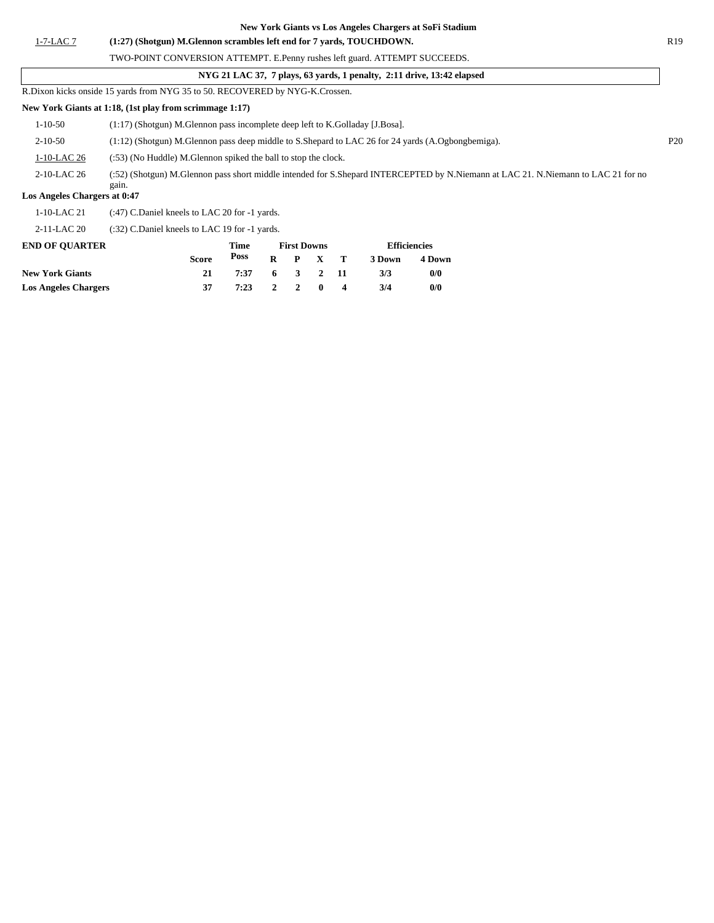1-7-LAC 7 **(1:27) (Shotgun) M.Glennon scrambles left end for 7 yards, TOUCHDOWN.** R19

TWO-POINT CONVERSION ATTEMPT. E.Penny rushes left guard. ATTEMPT SUCCEEDS.

R.Dixon kicks onside 15 yards from NYG 35 to 50. RECOVERED by NYG-K.Crossen.

### **New York Giants at 1:18, (1st play from scrimmage 1:17)**

|                              | ivew Tork Glands at 1.10, (1st play from Scriminage 1.17)                                                                                  |     |
|------------------------------|--------------------------------------------------------------------------------------------------------------------------------------------|-----|
| 1-10-50                      | $(1:17)$ (Shotgun) M.Glennon pass incomplete deep left to K.Golladay [J.Bosa].                                                             |     |
| $2 - 10 - 50$                | $(1:12)$ (Shotgun) M.Glennon pass deep middle to S.Shepard to LAC 26 for 24 yards (A.Ogbongbemiga).                                        | P20 |
| $1-10-LAC26$                 | (:53) (No Huddle) M.Glennon spiked the ball to stop the clock.                                                                             |     |
| 2-10-LAC 26                  | (:52) (Shotgun) M.Glennon pass short middle intended for S.Shepard INTERCEPTED by N.Niemann at LAC 21. N.Niemann to LAC 21 for no<br>gain. |     |
| Los Angeles Chargers at 0:47 |                                                                                                                                            |     |
| $1-10-LAC21$                 | (:47) C.Daniel kneels to LAC 20 for -1 yards.                                                                                              |     |

2-11-LAC 20 (:32) C.Daniel kneels to LAC 19 for -1 yards.

| <b>END OF OUARTER</b>       |       | Time         |  | <b>First Downs</b> |                 | <b>Efficiencies</b> |        |  |
|-----------------------------|-------|--------------|--|--------------------|-----------------|---------------------|--------|--|
|                             | Score | Poss         |  |                    | $R$ $P$ $X$ $T$ | 3 Down              | 4 Down |  |
| <b>New York Giants</b>      |       | 7:37         |  | 6 3 2 11           |                 | 3/3                 | 0/0    |  |
| <b>Los Angeles Chargers</b> |       | 7:23 2 2 0 4 |  |                    |                 | 3/4                 | 0/0    |  |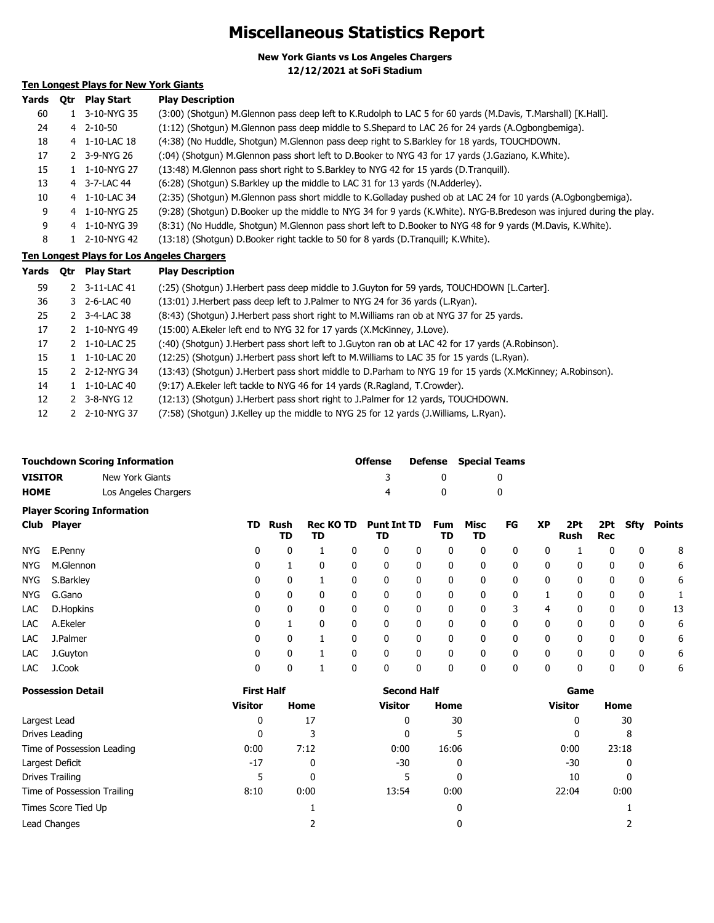## **Miscellaneous Statistics Report**

**New York Giants vs Los Angeles Chargers**

**12/12/2021 at SoFi Stadium**

### **Ten Longest Plays for New York Giants**

| Yards | 0tr | <b>Play Start</b> | <b>Play Description</b>                                                                                              |
|-------|-----|-------------------|----------------------------------------------------------------------------------------------------------------------|
| 60    |     | 1 3-10-NYG 35     | (3:00) (Shotgun) M.Glennon pass deep left to K.Rudolph to LAC 5 for 60 yards (M.Davis, T.Marshall) [K.Hall].         |
| 24    |     | 4 2-10-50         | (1:12) (Shotgun) M.Glennon pass deep middle to S.Shepard to LAC 26 for 24 yards (A.Ogbongbemiga).                    |
| 18    |     | 4 1-10-LAC 18     | (4:38) (No Huddle, Shotgun) M.Glennon pass deep right to S.Barkley for 18 yards, TOUCHDOWN.                          |
| 17    |     | 2 3-9-NYG 26      | (94) (Shotgun) M.Glennon pass short left to D.Booker to NYG 43 for 17 yards (J.Gaziano, K.White).                    |
| 15    |     | 1 1-10-NYG 27     | (13:48) M.Glennon pass short right to S.Barkley to NYG 42 for 15 yards (D.Tranquill).                                |
| 13    |     | 4 3-7-LAC 44      | (6:28) (Shotgun) S.Barkley up the middle to LAC 31 for 13 yards (N.Adderley).                                        |
| 10    |     | 4 1-10-LAC 34     | (2:35) (Shotgun) M.Glennon pass short middle to K.Golladay pushed ob at LAC 24 for 10 yards (A.Ogbongbemiga).        |
| 9     |     | 4 1-10-NYG 25     | (9:28) (Shotgun) D.Booker up the middle to NYG 34 for 9 yards (K.White). NYG-B.Bredeson was injured during the play. |
| 9     |     | 4 1-10-NYG 39     | (8:31) (No Huddle, Shotgun) M.Glennon pass short left to D.Booker to NYG 48 for 9 yards (M.Davis, K.White).          |
| 8     |     | 1 2-10-NYG 42     | (13:18) (Shotgun) D.Booker right tackle to 50 for 8 yards (D.Tranguill; K.White).                                    |

### **Ten Longest Plays for Los Angeles Chargers**

| Yards | Qtr | <b>Play Start</b>         | <b>Play Description</b>                                                                                    |
|-------|-----|---------------------------|------------------------------------------------------------------------------------------------------------|
| 59    |     | 2 3-11-LAC 41             | (:25) (Shotgun) J.Herbert pass deep middle to J.Guyton for 59 yards, TOUCHDOWN [L.Carter].                 |
| 36    |     | 3 2-6-LAC 40              | (13:01) J. Herbert pass deep left to J. Palmer to NYG 24 for 36 yards (L. Ryan).                           |
| 25    |     | 2 3-4-LAC 38              | (8:43) (Shotqun) J.Herbert pass short right to M.Williams ran ob at NYG 37 for 25 yards.                   |
| 17    |     | 2 1-10-NYG 49             | (15:00) A Ekeler left end to NYG 32 for 17 yards (X.McKinney, J.Love).                                     |
| 17    |     | 2 1-10-LAC 25             | (:40) (Shotgun) J.Herbert pass short left to J.Guyton ran ob at LAC 42 for 17 yards (A.Robinson).          |
| 15    |     | 1-10-LAC 20               | (12:25) (Shotgun) J.Herbert pass short left to M.Williams to LAC 35 for 15 yards (L.Ryan).                 |
| 15    |     | 2 2-12-NYG 34             | (13:43) (Shotgun) J.Herbert pass short middle to D.Parham to NYG 19 for 15 yards (X.McKinney; A.Robinson). |
| 14    |     | $1 \quad 1 - 10 - LAC$ 40 | (9:17) A. Ekeler left tackle to NYG 46 for 14 yards (R. Ragland, T. Crowder).                              |
| 12    |     | 2 3-8-NYG 12              | (12:13) (Shotgun) J. Herbert pass short right to J. Palmer for 12 yards, TOUCHDOWN.                        |
| 12    |     | 2 2-10-NYG 37             | (7:58) (Shotgun) J.Kelley up the middle to NYG 25 for 12 yards (J.Williams, L.Ryan).                       |

|                | <b>Touchdown Scoring Information</b> | <b>Offense</b> | <b>Defense</b> Special Teams |  |  |
|----------------|--------------------------------------|----------------|------------------------------|--|--|
| <b>VISITOR</b> | New York Giants                      |                |                              |  |  |
| <b>HOME</b>    | Los Angeles Chargers                 |                |                              |  |  |
|                | <b>Player Scoring Information</b>    |                |                              |  |  |

|     | Club Player | TD | Rush<br>TD   | Rec KO TD<br>TD |          | <b>Punt Int TD</b><br>TD |   | Fum<br>TD | Misc<br>TD   | FG | XP           | 2Pt<br>Rush  | Rec          | 2Pt Sfty     | Points |
|-----|-------------|----|--------------|-----------------|----------|--------------------------|---|-----------|--------------|----|--------------|--------------|--------------|--------------|--------|
|     | NYG E.Penny | 0  | 0            |                 | 0        | 0                        | 0 | 0         | $\mathbf{0}$ | 0  | 0            |              | 0            | $\mathbf{0}$ | 8      |
| NYG | M.Glennon   | 0  |              | 0               | 0        | 0                        | 0 | 0         | $\mathbf{0}$ | 0  | 0            | 0            | 0            | 0            | 6      |
| NYG | S.Barkley   | 0  | 0            |                 | 0        | 0                        | 0 | 0         | 0            | 0  | $\mathbf{0}$ | 0            | $\mathbf 0$  | $\mathbf{0}$ | 6      |
| NYG | G.Gano      | 0  | 0            | 0               |          | 0                        | 0 | 0         | $\Omega$     | 0  |              | 0            | 0            | 0            |        |
| LAC | D.Hopkins   | 0  | 0            | 0               | 0        | 0                        | 0 | 0         | 0            | 3  | 4            | 0            | 0            | $\mathbf{0}$ | 13     |
| LAC | A.Ekeler    | 0  |              | $\mathbf{0}$    | $\Omega$ | 0                        | 0 | 0         | $\Omega$     | 0  | $\mathbf{0}$ | 0            | $\mathbf{0}$ | $\mathbf{0}$ | 6      |
| LAC | J.Palmer    | 0  | 0            |                 |          | 0                        | 0 | 0         | $\Omega$     | 0  | 0            | 0            | 0            | $\mathbf{0}$ | 6      |
| LAC | J.Guyton    | 0  | $\mathbf{0}$ |                 |          | 0                        | 0 | 0         | 0            | 0  | 0            | $\mathbf{0}$ | $\mathbf{0}$ | $\mathbf{0}$ | 6      |
| LAC | J.Cook      | 0  | 0            |                 |          | 0                        | 0 | 0         |              | 0  | 0            | 0            | 0            | 0            | 6      |
|     |             |    |              |                 |          |                          |   |           |              |    |              |              |              |              |        |

| <b>Possession Detail</b>    | <b>First Half</b> |      | <b>Second Half</b> |       | Game           |       |  |
|-----------------------------|-------------------|------|--------------------|-------|----------------|-------|--|
|                             | <b>Visitor</b>    | Home | <b>Visitor</b>     | Home  | <b>Visitor</b> | Home  |  |
| Largest Lead                | 0                 | 17   | 0                  | 30    | 0              | 30    |  |
| Drives Leading              | 0                 |      | 0                  | 5     | 0              | 8     |  |
| Time of Possession Leading  | 0:00              | 7:12 | 0:00               | 16:06 | 0:00           | 23:18 |  |
| Largest Deficit             | $-17$             | 0    | $-30$              | 0     | $-30$          | 0     |  |
| <b>Drives Trailing</b>      | 5                 | 0    | 5                  | 0     | 10             | 0     |  |
| Time of Possession Trailing | 8:10              | 0:00 | 13:54              | 0:00  | 22:04          | 0:00  |  |
| Times Score Tied Up         |                   |      |                    | 0     |                |       |  |
| Lead Changes                |                   |      |                    | 0     |                |       |  |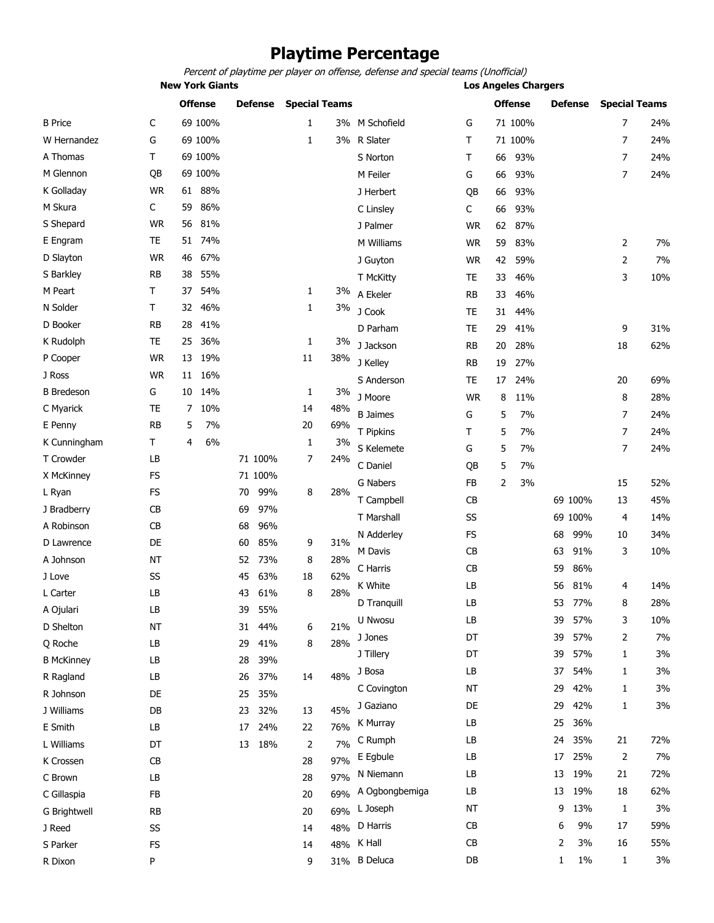### **Playtime Percentage**

Percent of playtime per player on offense, defense and special teams (Unofficial)

| <b>New York Giants</b> |  |  | <b>Los Angeles Chargers</b> |  |
|------------------------|--|--|-----------------------------|--|

|                   |           |    | <b>Offense</b> |    | <b>Defense</b> | <b>Special Teams</b> |     |                 |                        |    | <b>Offense</b> |    | <b>Defense</b> |                | <b>Special Teams</b> |
|-------------------|-----------|----|----------------|----|----------------|----------------------|-----|-----------------|------------------------|----|----------------|----|----------------|----------------|----------------------|
| <b>B</b> Price    | C         |    | 69 100%        |    |                | 1                    |     | 3% M Schofield  | G                      |    | 71 100%        |    |                | 7              | 24%                  |
| W Hernandez       | G         |    | 69 100%        |    |                | 1                    |     | 3% R Slater     | т                      |    | 71 100%        |    |                | 7              | 24%                  |
| A Thomas          | T.        |    | 69 100%        |    |                |                      |     | S Norton        | Τ                      | 66 | 93%            |    |                | 7              | 24%                  |
| M Glennon         | QB        |    | 69 100%        |    |                |                      |     | M Feiler        | G                      | 66 | 93%            |    |                | $\overline{7}$ | 24%                  |
| K Golladay        | <b>WR</b> | 61 | 88%            |    |                |                      |     | J Herbert       | QB                     | 66 | 93%            |    |                |                |                      |
| M Skura           | C         | 59 | 86%            |    |                |                      |     | C Linsley       | C                      | 66 | 93%            |    |                |                |                      |
| S Shepard         | <b>WR</b> | 56 | 81%            |    |                |                      |     | J Palmer        | <b>WR</b>              | 62 | 87%            |    |                |                |                      |
| E Engram          | <b>TE</b> | 51 | 74%            |    |                |                      |     | M Williams      | <b>WR</b>              | 59 | 83%            |    |                | 2              | 7%                   |
| D Slayton         | <b>WR</b> | 46 | 67%            |    |                |                      |     | J Guyton        | <b>WR</b>              | 42 | 59%            |    |                | $\overline{2}$ | 7%                   |
| S Barkley         | <b>RB</b> | 38 | 55%            |    |                |                      |     | T McKitty       | TE                     | 33 | 46%            |    |                | 3              | 10%                  |
| M Peart           | Τ         | 37 | 54%            |    |                | 1                    | 3%  | A Ekeler        | <b>RB</b>              | 33 | 46%            |    |                |                |                      |
| N Solder          | Τ         | 32 | 46%            |    |                | 1                    | 3%  | J Cook          | TE                     | 31 | 44%            |    |                |                |                      |
| D Booker          | <b>RB</b> | 28 | 41%            |    |                |                      |     | D Parham        | <b>TE</b>              | 29 | 41%            |    |                | 9              | 31%                  |
| K Rudolph         | <b>TE</b> | 25 | 36%            |    |                | 1                    | 3%  | J Jackson       | <b>RB</b>              | 20 | 28%            |    |                | 18             | 62%                  |
| P Cooper          | <b>WR</b> | 13 | 19%            |    |                | 11                   | 38% | J Kelley        | <b>RB</b>              | 19 | 27%            |    |                |                |                      |
| J Ross            | <b>WR</b> | 11 | 16%            |    |                |                      |     | S Anderson      | <b>TE</b>              | 17 | 24%            |    |                | 20             | 69%                  |
| <b>B</b> Bredeson | G         | 10 | 14%            |    |                | 1                    | 3%  | J Moore         | <b>WR</b>              | 8  | 11%            |    |                | 8              | 28%                  |
| C Myarick         | <b>TE</b> | 7  | 10%            |    |                | 14                   | 48% | <b>B</b> Jaimes | G                      | 5  | 7%             |    |                | 7              | 24%                  |
| E Penny           | <b>RB</b> | 5  | 7%             |    |                | 20                   | 69% | T Pipkins       | Τ                      | 5  | 7%             |    |                | 7              | 24%                  |
| K Cunningham      | T         | 4  | 6%             |    |                | 1                    | 3%  | S Kelemete      | G                      | 5  | 7%             |    |                | $\overline{7}$ | 24%                  |
| T Crowder         | LB        |    |                |    | 71 100%        | 7                    | 24% | C Daniel        | QB                     | 5  | 7%             |    |                |                |                      |
| X McKinney        | <b>FS</b> |    |                |    | 71 100%        |                      |     | <b>G Nabers</b> | <b>FB</b>              | 2  | 3%             |    |                | 15             | 52%                  |
| L Ryan            | <b>FS</b> |    |                | 70 | 99%            | 8                    | 28% | T Campbell      | CB                     |    |                |    | 69 100%        | 13             | 45%                  |
| J Bradberry       | <b>CB</b> |    |                | 69 | 97%            |                      |     | T Marshall      | SS                     |    |                |    | 69 100%        | 4              | 14%                  |
| A Robinson        | <b>CB</b> |    |                | 68 | 96%            |                      |     | N Adderley      | <b>FS</b>              |    |                | 68 | 99%            | 10             | 34%                  |
| D Lawrence        | DE        |    |                | 60 | 85%            | 9                    | 31% | M Davis         | <b>CB</b>              |    |                | 63 | 91%            | 3              | 10%                  |
| A Johnson         | <b>NT</b> |    |                | 52 | 73%            | 8                    | 28% | C Harris        | CB                     |    |                | 59 | 86%            |                |                      |
| J Love            | SS        |    |                | 45 | 63%            | 18                   | 62% | K White         | LB                     |    |                | 56 | 81%            | 4              | 14%                  |
| L Carter          | LB        |    |                | 43 | 61%            | 8                    | 28% | D Tranquill     | LB                     |    |                | 53 | 77%            | 8              | 28%                  |
| A Ojulari         | LB        |    |                | 39 | 55%            |                      |     | U Nwosu         | $\mathsf{L}\mathsf{B}$ |    |                | 39 | 57%            |                | 10%                  |
| D Shelton         | NT        |    |                | 31 | 44%            | 6                    | 21% |                 |                        |    |                |    |                | 3              |                      |
| Q Roche           | LB        |    |                | 29 | 41%            | 8                    | 28% | J Jones         | DT                     |    |                | 39 | 57%            | 2              | 7%                   |
| <b>B McKinney</b> | LB        |    |                | 28 | 39%            |                      |     | J Tillery       | DT                     |    |                | 39 | 57%            | 1              | 3%                   |
| R Ragland         | LB        |    |                | 26 | 37%            | 14                   | 48% | J Bosa          | LB                     |    |                | 37 | 54%            | 1              | 3%                   |
| R Johnson         | DE        |    |                | 25 | 35%            |                      |     | C Covington     | NT                     |    |                | 29 | 42%            | 1              | 3%                   |
| J Williams        | DB        |    |                | 23 | 32%            | 13                   | 45% | J Gaziano       | DE                     |    |                | 29 | 42%            | 1              | 3%                   |
| E Smith           | LB        |    |                | 17 | 24%            | 22                   | 76% | K Murray        | LB                     |    |                | 25 | 36%            |                |                      |
| L Williams        | DT        |    |                | 13 | 18%            | 2                    | 7%  | C Rumph         | LB                     |    |                | 24 | 35%            | 21             | 72%                  |
| K Crossen         | CB        |    |                |    |                | 28                   | 97% | E Egbule        | LB                     |    |                | 17 | 25%            | 2              | 7%                   |
| C Brown           | LB        |    |                |    |                | 28                   | 97% | N Niemann       | LB                     |    |                | 13 | 19%            | 21             | 72%                  |
| C Gillaspia       | FB        |    |                |    |                | 20                   | 69% | A Ogbongbemiga  | LB                     |    |                | 13 | 19%            | 18             | 62%                  |
| G Brightwell      | <b>RB</b> |    |                |    |                | 20                   | 69% | L Joseph        | NT                     |    |                | 9  | 13%            | 1              | 3%                   |
| J Reed            | SS        |    |                |    |                | 14                   | 48% | D Harris        | <b>CB</b>              |    |                | 6  | 9%             | 17             | 59%                  |
| S Parker          | FS        |    |                |    |                | 14                   |     | 48% K Hall      | CB                     |    |                | 2  | 3%             | 16             | 55%                  |
| R Dixon           | P         |    |                |    |                | 9                    | 31% | <b>B</b> Deluca | DB                     |    |                | 1  | $1\%$          | 1              | 3%                   |